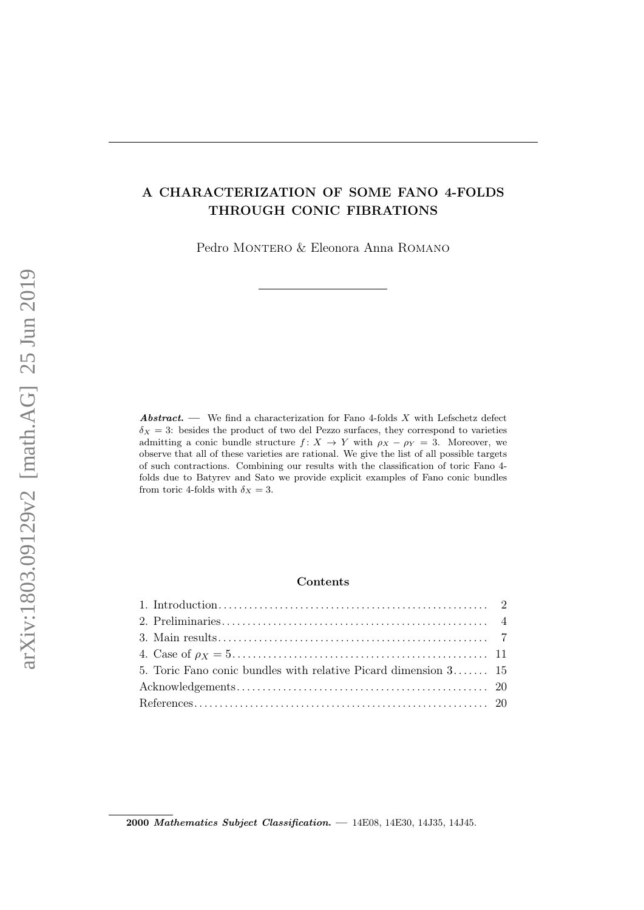# A CHARACTERIZATION OF SOME FANO 4-FOLDS THROUGH CONIC FIBRATIONS

Pedro MONTERO & Eleonora Anna ROMANO

**Abstract.** — We find a characterization for Fano 4-folds  $X$  with Lefschetz defect  $\delta_X = 3$ : besides the product of two del Pezzo surfaces, they correspond to varieties admitting a conic bundle structure  $f: X \to Y$  with  $\rho_X - \rho_Y = 3$ . Moreover, we observe that all of these varieties are rational. We give the list of all possible targets of such contractions. Combining our results with the classification of toric Fano 4 folds due to Batyrev and Sato we provide explicit examples of Fano conic bundles from toric 4-folds with  $\delta_X = 3$ .

# Contents

| 5. Toric Fano conic bundles with relative Picard dimension $3$ 15 |  |
|-------------------------------------------------------------------|--|
|                                                                   |  |
|                                                                   |  |
|                                                                   |  |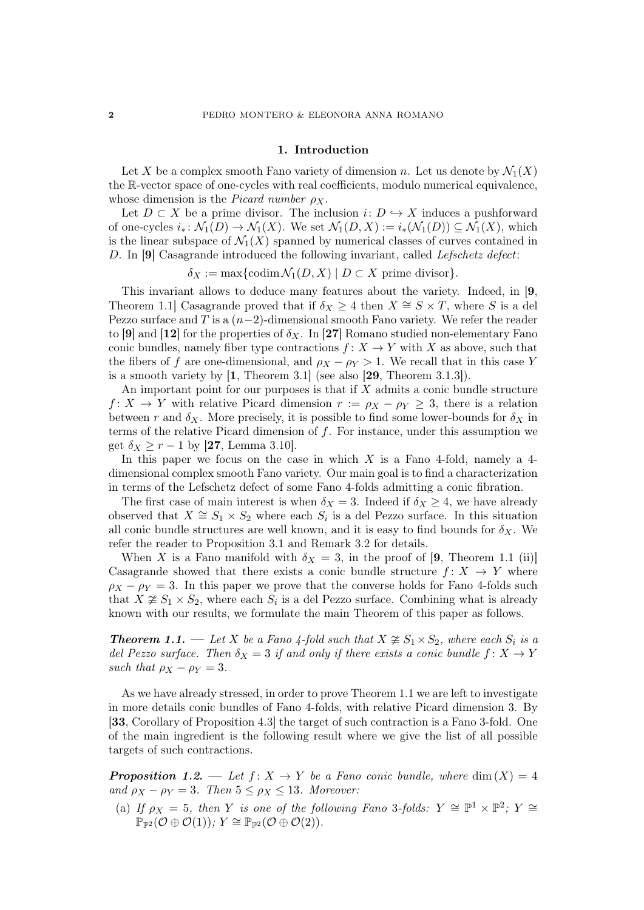### 1. Introduction

Let X be a complex smooth Fano variety of dimension n. Let us denote by  $\mathcal{N}_1(X)$ the R-vector space of one-cycles with real coefficients, modulo numerical equivalence, whose dimension is the *Picard number*  $\rho_X$ .

Let  $D \subset X$  be a prime divisor. The inclusion  $i: D \hookrightarrow X$  induces a pushforward of one-cycles  $i_* \colon \mathcal{N}_1(D) \to \mathcal{N}_1(X)$ . We set  $\mathcal{N}_1(D, X) := i_*(\mathcal{N}_1(D)) \subseteq \mathcal{N}_1(X)$ , which is the linear subspace of  $\mathcal{N}_1(X)$  spanned by numerical classes of curves contained in D. In [9] Casagrande introduced the following invariant, called Lefschetz defect:

 $\delta_X := \max\{\operatorname{codim} \mathcal{N}_1(D,X) \mid D \subset X \text{ prime divisor}\}.$ 

This invariant allows to deduce many features about the variety. Indeed, in [9, Theorem 1.1] Casagrande proved that if  $\delta_X \geq 4$  then  $X \cong S \times T$ , where S is a del Pezzo surface and T is a  $(n-2)$ -dimensional smooth Fano variety. We refer the reader to [9] and [12] for the properties of  $\delta_X$ . In [27] Romano studied non-elementary Fano conic bundles, namely fiber type contractions  $f: X \to Y$  with X as above, such that the fibers of f are one-dimensional, and  $\rho_X - \rho_Y > 1$ . We recall that in this case Y is a smooth variety by [1, Theorem 3.1] (see also [29, Theorem 3.1.3]).

An important point for our purposes is that if  $X$  admits a conic bundle structure  $f: X \to Y$  with relative Picard dimension  $r := \rho_X - \rho_Y \geq 3$ , there is a relation between r and  $\delta_X$ . More precisely, it is possible to find some lower-bounds for  $\delta_X$  in terms of the relative Picard dimension of f. For instance, under this assumption we get  $\delta_X \ge r - 1$  by [27, Lemma 3.10].

In this paper we focus on the case in which  $X$  is a Fano 4-fold, namely a 4dimensional complex smooth Fano variety. Our main goal is to find a characterization in terms of the Lefschetz defect of some Fano 4-folds admitting a conic fibration.

The first case of main interest is when  $\delta_X = 3$ . Indeed if  $\delta_X \geq 4$ , we have already observed that  $X \cong S_1 \times S_2$  where each  $S_i$  is a del Pezzo surface. In this situation all conic bundle structures are well known, and it is easy to find bounds for  $\delta_X$ . We refer the reader to Proposition 3.1 and Remark 3.2 for details.

When X is a Fano manifold with  $\delta_X = 3$ , in the proof of [9, Theorem 1.1 (ii)] Casagrande showed that there exists a conic bundle structure  $f: X \rightarrow Y$  where  $\rho_X - \rho_Y = 3$ . In this paper we prove that the converse holds for Fano 4-folds such that  $X \not\cong S_1 \times S_2$ , where each  $S_i$  is a del Pezzo surface. Combining what is already known with our results, we formulate the main Theorem of this paper as follows.

**Theorem 1.1.** — Let X be a Fano 4-fold such that  $X \ncong S_1 \times S_2$ , where each  $S_i$  is a del Pezzo surface. Then  $\delta_X = 3$  if and only if there exists a conic bundle  $f: X \to Y$ such that  $\rho_X - \rho_Y = 3$ .

As we have already stressed, in order to prove Theorem 1.1 we are left to investigate in more details conic bundles of Fano 4-folds, with relative Picard dimension 3. By [33, Corollary of Proposition 4.3] the target of such contraction is a Fano 3-fold. One of the main ingredient is the following result where we give the list of all possible targets of such contractions.

**Proposition 1.2.** — Let  $f: X \to Y$  be a Fano conic bundle, where  $\dim(X) = 4$ and  $\rho_X - \rho_Y = 3$ . Then  $5 \le \rho_X \le 13$ . Moreover:

(a) If  $\rho_X = 5$ , then Y is one of the following Fano 3-folds:  $Y \cong \mathbb{P}^1 \times \mathbb{P}^2$ ;  $Y \cong$  $\mathbb{P}_{\mathbb{P}^2}(\mathcal{O}\oplus\mathcal{O}(1))\colon Y\cong \mathbb{P}_{\mathbb{P}^2}(\mathcal{O}\oplus\mathcal{O}(2)).$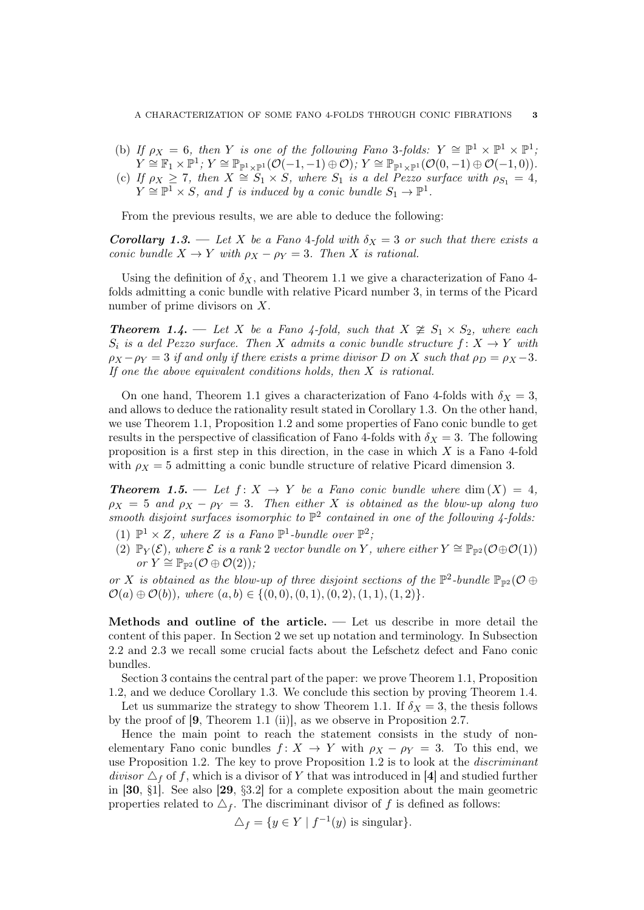(b) If  $\rho_X = 6$ , then Y is one of the following Fano 3-folds:  $Y \cong \mathbb{P}^1 \times \mathbb{P}^1 \times \mathbb{P}^1$ ;  $Y\cong \mathbb{F}_1\times \mathbb{P}^1;~Y\cong \mathbb{P}_{\mathbb{P}^1\times \mathbb{P}^1}(\mathcal{O}(-1,-1)\oplus \mathcal{O}),~Y\cong \mathbb{P}_{\mathbb{P}^1\times \mathbb{P}^1}(\mathcal{O}(0,-1)\oplus \mathcal{O}(-1,0)).$ (c) If  $\rho_X \geq 7$ , then  $X \cong S_1 \times S$ , where  $S_1$  is a del  $P$ ezzo surface with  $\rho_{S_1} = 4$ ,  $Y \cong \mathbb{P}^1 \times S$ , and f is induced by a conic bundle  $S_1 \to \mathbb{P}^1$ .

From the previous results, we are able to deduce the following:

**Corollary 1.3.** — Let X be a Fano 4-fold with  $\delta_X = 3$  or such that there exists a conic bundle  $X \to Y$  with  $\rho_X - \rho_Y = 3$ . Then X is rational.

Using the definition of  $\delta_X$ , and Theorem 1.1 we give a characterization of Fano 4folds admitting a conic bundle with relative Picard number 3, in terms of the Picard number of prime divisors on X.

**Theorem 1.4.** — Let X be a Fano 4-fold, such that  $X \ncong S_1 \times S_2$ , where each  $S_i$  is a del Pezzo surface. Then X admits a conic bundle structure  $f: X \to Y$  with  $\rho_X - \rho_Y = 3$  if and only if there exists a prime divisor D on X such that  $\rho_D = \rho_X - 3$ . If one the above equivalent conditions holds, then  $X$  is rational.

On one hand, Theorem 1.1 gives a characterization of Fano 4-folds with  $\delta_X = 3$ . and allows to deduce the rationality result stated in Corollary 1.3. On the other hand, we use Theorem 1.1, Proposition 1.2 and some properties of Fano conic bundle to get results in the perspective of classification of Fano 4-folds with  $\delta_X = 3$ . The following proposition is a first step in this direction, in the case in which  $X$  is a Fano 4-fold with  $\rho_X = 5$  admitting a conic bundle structure of relative Picard dimension 3.

**Theorem 1.5.** — Let  $f: X \rightarrow Y$  be a Fano conic bundle where  $\dim(X) = 4$ ,  $\rho_X = 5$  and  $\rho_X - \rho_Y = 3$ . Then either X is obtained as the blow-up along two smooth disjoint surfaces isomorphic to  $\mathbb{P}^2$  contained in one of the following 4-folds.

- (1)  $\mathbb{P}^1 \times Z$ , where Z is a Fano  $\mathbb{P}^1$ -bundle over  $\mathbb{P}^2$ ;
- (2)  $\mathbb{P}_Y(\mathcal{E})$ , where  $\mathcal E$  is a rank 2 vector bundle on Y, where either  $Y \cong \mathbb{P}_{\mathbb{P}^2}(\mathcal{O} \oplus \mathcal{O}(1))$ or  $Y \cong \mathbb{P}_{\mathbb{P}^2}(\mathcal{O} \oplus \mathcal{O}(2))$ ;

or X is obtained as the blow-up of three disjoint sections of the  $\mathbb{P}^2$ -bundle  $\mathbb{P}_{\mathbb{P}^2}(\mathcal{O} \oplus$  $\mathcal{O}(a) \oplus \mathcal{O}(b)$ , where  $(a, b) \in \{(0, 0), (0, 1), (0, 2), (1, 1), (1, 2)\}.$ 

Methods and outline of the article. — Let us describe in more detail the content of this paper. In Section 2 we set up notation and terminology. In Subsection 2.2 and 2.3 we recall some crucial facts about the Lefschetz defect and Fano conic bundles.

Section 3 contains the central part of the paper: we prove Theorem 1.1, Proposition 1.2, and we deduce Corollary 1.3. We conclude this section by proving Theorem 1.4.

Let us summarize the strategy to show Theorem 1.1. If  $\delta_X = 3$ , the thesis follows by the proof of [9, Theorem 1.1 (ii)], as we observe in Proposition 2.7.

Hence the main point to reach the statement consists in the study of nonelementary Fano conic bundles  $f: X \to Y$  with  $\rho_X - \rho_Y = 3$ . To this end, we use Proposition 1.2. The key to prove Proposition 1.2 is to look at the discriminant divisor  $\Delta_f$  of f, which is a divisor of Y that was introduced in [4] and studied further in [30, §1]. See also [29, §3.2] for a complete exposition about the main geometric properties related to  $\Delta_f$ . The discriminant divisor of f is defined as follows:

$$
\triangle_f = \{ y \in Y \mid f^{-1}(y) \text{ is singular} \}.
$$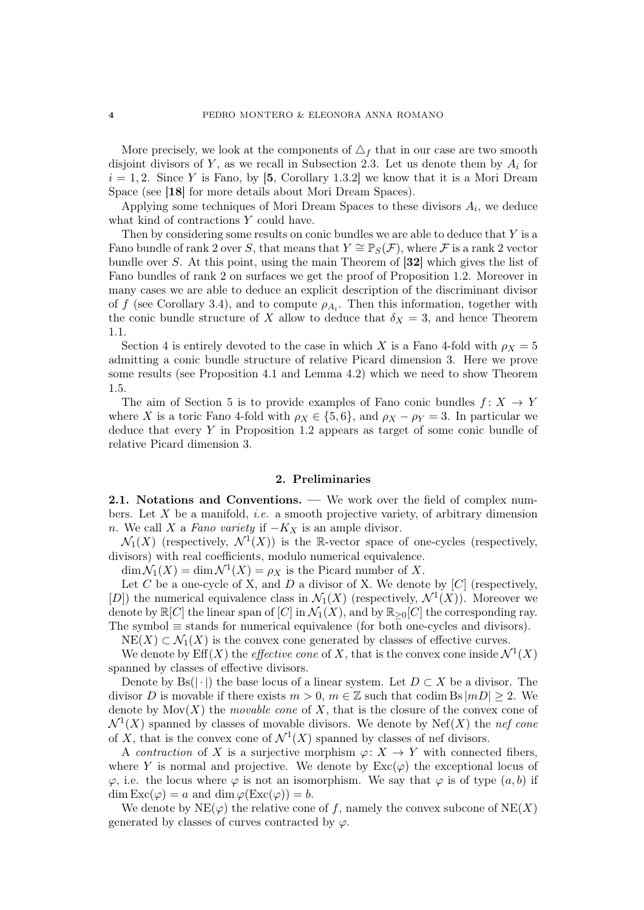More precisely, we look at the components of  $\Delta_f$  that in our case are two smooth disjoint divisors of Y, as we recall in Subsection 2.3. Let us denote them by  $A_i$  for  $i = 1, 2$ . Since Y is Fano, by [5, Corollary 1.3.2] we know that it is a Mori Dream Space (see [18] for more details about Mori Dream Spaces).

Applying some techniques of Mori Dream Spaces to these divisors  $A_i$ , we deduce what kind of contractions Y could have.

Then by considering some results on conic bundles we are able to deduce that Y is a Fano bundle of rank 2 over S, that means that  $Y \cong \mathbb{P}_S(\mathcal{F})$ , where F is a rank 2 vector bundle over S. At this point, using the main Theorem of [32] which gives the list of Fano bundles of rank 2 on surfaces we get the proof of Proposition 1.2. Moreover in many cases we are able to deduce an explicit description of the discriminant divisor of f (see Corollary 3.4), and to compute  $\rho_{A_i}$ . Then this information, together with the conic bundle structure of X allow to deduce that  $\delta_X = 3$ , and hence Theorem 1.1.

Section 4 is entirely devoted to the case in which X is a Fano 4-fold with  $\rho_X = 5$ admitting a conic bundle structure of relative Picard dimension 3. Here we prove some results (see Proposition 4.1 and Lemma 4.2) which we need to show Theorem 1.5.

The aim of Section 5 is to provide examples of Fano conic bundles  $f: X \to Y$ where X is a toric Fano 4-fold with  $\rho_X \in \{5, 6\}$ , and  $\rho_X - \rho_Y = 3$ . In particular we deduce that every  $Y$  in Proposition 1.2 appears as target of some conic bundle of relative Picard dimension 3.

## 2. Preliminaries

2.1. Notations and Conventions. — We work over the field of complex numbers. Let  $X$  be a manifold, *i.e.* a smooth projective variety, of arbitrary dimension n. We call X a Fano variety if  $-K_X$  is an ample divisor.

 $\mathcal{N}_1(X)$  (respectively,  $\mathcal{N}^1(X)$ ) is the R-vector space of one-cycles (respectively, divisors) with real coefficients, modulo numerical equivalence.

 $\dim \mathcal{N}_1(X) = \dim \mathcal{N}^1(X) = \rho_X$  is the Picard number of X.

Let C be a one-cycle of X, and D a divisor of X. We denote by  $[C]$  (respectively, [D]) the numerical equivalence class in  $\mathcal{N}_1(X)$  (respectively,  $\mathcal{N}^1(X)$ ). Moreover we denote by  $\mathbb{R}[C]$  the linear span of  $[C]$  in  $\mathcal{N}_1(X)$ , and by  $\mathbb{R}_{\geq 0}[C]$  the corresponding ray. The symbol  $\equiv$  stands for numerical equivalence (for both one-cycles and divisors).

 $NE(X) \subset \mathcal{N}_1(X)$  is the convex cone generated by classes of effective curves.

We denote by  $\mathrm{Eff}(X)$  the *effective cone* of X, that is the convex cone inside  $\mathcal{N}^1(X)$ spanned by classes of effective divisors.

Denote by Bs( $|\cdot|$ ) the base locus of a linear system. Let  $D \subset X$  be a divisor. The divisor D is movable if there exists  $m > 0$ ,  $m \in \mathbb{Z}$  such that codim Bs  $|mD| \geq 2$ . We denote by  $Mov(X)$  the *movable cone* of X, that is the closure of the convex cone of  $\mathcal{N}^1(X)$  spanned by classes of movable divisors. We denote by Nef(X) the nef cone of X, that is the convex cone of  $\mathcal{N}^1(X)$  spanned by classes of nef divisors.

A contraction of X is a surjective morphism  $\varphi: X \to Y$  with connected fibers, where Y is normal and projective. We denote by  $\text{Exc}(\varphi)$  the exceptional locus of  $\varphi$ , i.e. the locus where  $\varphi$  is not an isomorphism. We say that  $\varphi$  is of type  $(a, b)$  if  $\dim \text{Exc}(\varphi) = a$  and  $\dim \varphi(\text{Exc}(\varphi)) = b$ .

We denote by  $NE(\varphi)$  the relative cone of f, namely the convex subcone of  $NE(X)$ generated by classes of curves contracted by  $\varphi$ .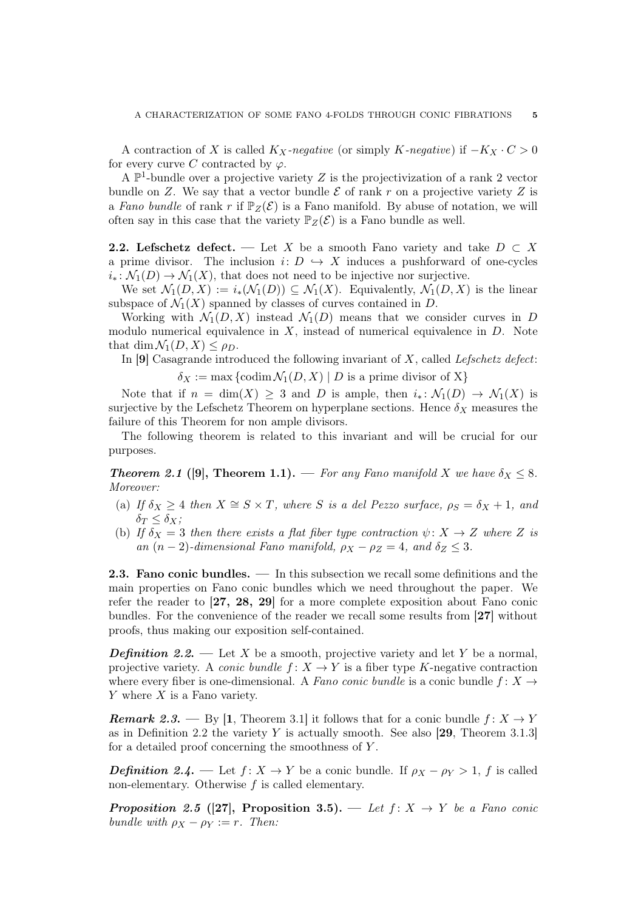A contraction of X is called  $K_X$ -negative (or simply K-negative) if  $-K_X \cdot C > 0$ for every curve C contracted by  $\varphi$ .

A  $\mathbb{P}^1$ -bundle over a projective variety Z is the projectivization of a rank 2 vector bundle on Z. We say that a vector bundle  $\mathcal E$  of rank r on a projective variety Z is a Fano bundle of rank r if  $\mathbb{P}_Z(\mathcal{E})$  is a Fano manifold. By abuse of notation, we will often say in this case that the variety  $\mathbb{P}_Z(\mathcal{E})$  is a Fano bundle as well.

**2.2.** Lefschetz defect. — Let X be a smooth Fano variety and take  $D \subset X$ a prime divisor. The inclusion  $i: D \hookrightarrow X$  induces a pushforward of one-cycles  $i_*: \mathcal{N}_1(D) \to \mathcal{N}_1(X)$ , that does not need to be injective nor surjective.

We set  $\mathcal{N}_1(D,X) := i_*(\mathcal{N}_1(D)) \subseteq \mathcal{N}_1(X)$ . Equivalently,  $\mathcal{N}_1(D,X)$  is the linear subspace of  $\mathcal{N}_1(X)$  spanned by classes of curves contained in D.

Working with  $\mathcal{N}_1(D, X)$  instead  $\mathcal{N}_1(D)$  means that we consider curves in D modulo numerical equivalence in  $X$ , instead of numerical equivalence in  $D$ . Note that dim  $\mathcal{N}_1(D, X) \leq \rho_D$ .

In  $[9]$  Casagrande introduced the following invariant of X, called Lefschetz defect:

 $\delta_X := \max \{ \operatorname{codim} \mathcal{N}_1(D,X) \mid D \text{ is a prime divisor of } X \}$ 

Note that if  $n = \dim(X) \geq 3$  and D is ample, then  $i_* \colon \mathcal{N}_1(D) \to \mathcal{N}_1(X)$  is surjective by the Lefschetz Theorem on hyperplane sections. Hence  $\delta_X$  measures the failure of this Theorem for non ample divisors.

The following theorem is related to this invariant and will be crucial for our purposes.

**Theorem 2.1** ([9], Theorem 1.1). — For any Fano manifold X we have  $\delta_X \leq 8$ . Moreover:

- (a) If  $\delta_X \geq 4$  then  $X \cong S \times T$ , where S is a del Pezzo surface,  $\rho_S = \delta_X + 1$ , and  $\delta_T \leq \delta_X;$
- (b) If  $\delta_X = 3$  then there exists a flat fiber type contraction  $\psi \colon X \to Z$  where Z is an  $(n-2)$ -dimensional Fano manifold,  $\rho_X - \rho_Z = 4$ , and  $\delta_Z \leq 3$ .

2.3. Fano conic bundles. — In this subsection we recall some definitions and the main properties on Fano conic bundles which we need throughout the paper. We refer the reader to [27, 28, 29] for a more complete exposition about Fano conic bundles. For the convenience of the reader we recall some results from [27] without proofs, thus making our exposition self-contained.

**Definition 2.2.** — Let X be a smooth, projective variety and let Y be a normal, projective variety. A *conic bundle*  $f: X \to Y$  is a fiber type K-negative contraction where every fiber is one-dimensional. A Fano conic bundle is a conic bundle  $f: X \rightarrow$  $Y$  where  $X$  is a Fano variety.

**Remark 2.3.** — By [1, Theorem 3.1] it follows that for a conic bundle  $f: X \to Y$ as in Definition 2.2 the variety Y is actually smooth. See also  $[29,$  Theorem 3.1.3] for a detailed proof concerning the smoothness of Y .

**Definition 2.4.** — Let  $f: X \to Y$  be a conic bundle. If  $\rho_X - \rho_Y > 1$ , f is called non-elementary. Otherwise  $f$  is called elementary.

**Proposition 2.5 ([27], Proposition 3.5).** — Let  $f: X \rightarrow Y$  be a Fano conic bundle with  $\rho_X - \rho_Y := r$ . Then: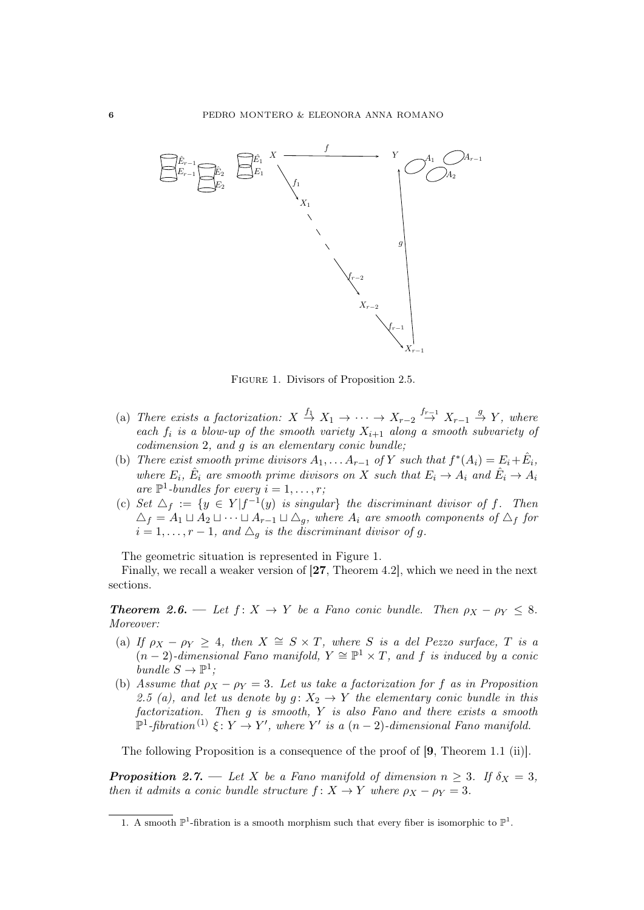

Figure 1. Divisors of Proposition 2.5.

- (a) There exists a factorization:  $X \stackrel{f_1}{\rightarrow} X_1 \rightarrow \cdots \rightarrow X_{r-2} \stackrel{f_{r-1}}{\rightarrow} X_{r-1} \stackrel{g}{\rightarrow} Y$ , where each  $f_i$  is a blow-up of the smooth variety  $X_{i+1}$  along a smooth subvariety of codimension 2, and g is an elementary conic bundle;
- (b) There exist smooth prime divisors  $A_1, \ldots A_{r-1}$  of Y such that  $f^*(A_i) = E_i + \hat{E}_i$ , where  $E_i$ ,  $\hat{E}_i$  are smooth prime divisors on X such that  $E_i \to A_i$  and  $\hat{E}_i \to A_i$ are  $\mathbb{P}^1$ -bundles for every  $i = 1, \ldots, r$ ;
- (c) Set  $\Delta_f := \{y \in Y | f^{-1}(y)$  is singular} the discriminant divisor of f. Then  $\Delta_f = A_1 \sqcup A_2 \sqcup \cdots \sqcup A_{r-1} \sqcup \Delta_g$ , where  $A_i$  are smooth components of  $\Delta_f$  for  $i = 1, \ldots, r - 1$ , and  $\triangle_q$  is the discriminant divisor of g.

The geometric situation is represented in Figure 1.

Finally, we recall a weaker version of [27, Theorem 4.2], which we need in the next sections.

**Theorem 2.6.** — Let  $f: X \to Y$  be a Fano conic bundle. Then  $\rho_X - \rho_Y \leq 8$ . Moreover:

- (a) If  $\rho_X \rho_Y \geq 4$ , then  $X \cong S \times T$ , where S is a del Pezzo surface, T is a  $(n-2)$ -dimensional Fano manifold,  $Y \cong \mathbb{P}^1 \times T$ , and f is induced by a conic bundle  $S \to \mathbb{P}^1$ ;
- (b) Assume that  $\rho_X \rho_Y = 3$ . Let us take a factorization for f as in Proposition 2.5 (a), and let us denote by  $g: X_2 \to Y$  the elementary conic bundle in this factorization. Then g is smooth, Y is also Fano and there exists a smooth  $\mathbb{P}^1$ -fibration<sup>(1)</sup>  $\xi \colon Y \to Y'$ , where Y' is a  $(n-2)$ -dimensional Fano manifold.

The following Proposition is a consequence of the proof of [9, Theorem 1.1 (ii)].

**Proposition 2.7.** — Let X be a Fano manifold of dimension  $n \geq 3$ . If  $\delta_X = 3$ , then it admits a conic bundle structure  $f: X \to Y$  where  $\rho_X - \rho_Y = 3$ .

<sup>1.</sup> A smooth  $\mathbb{P}^1$ -fibration is a smooth morphism such that every fiber is isomorphic to  $\mathbb{P}^1$ .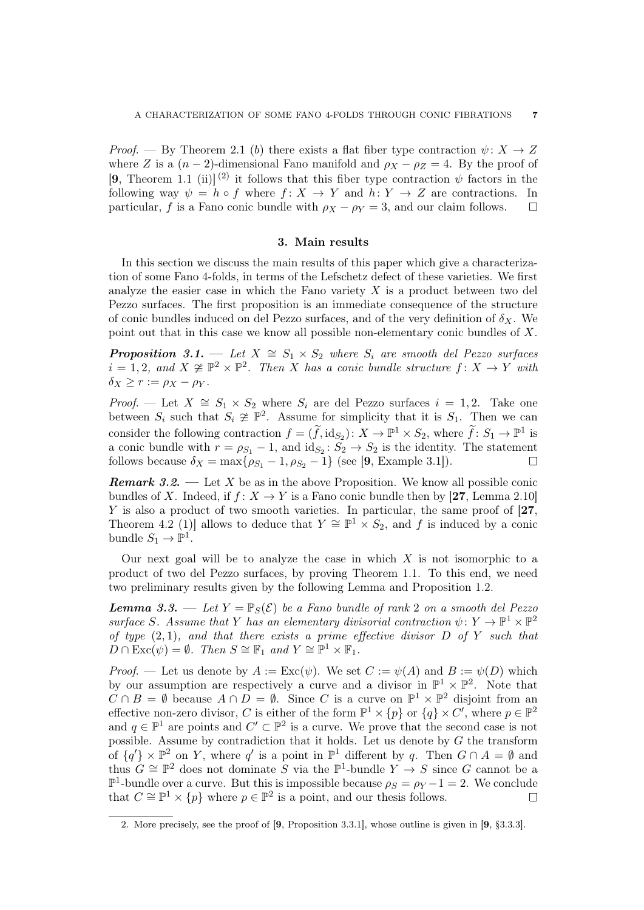Proof. — By Theorem 2.1 (b) there exists a flat fiber type contraction  $\psi \colon X \to Z$ where Z is a  $(n-2)$ -dimensional Fano manifold and  $\rho_X - \rho_Z = 4$ . By the proof of [9, Theorem 1.1 (ii)]<sup>(2)</sup> it follows that this fiber type contraction  $\psi$  factors in the following way  $\psi = h \circ f$  where  $f: X \to Y$  and  $h: Y \to Z$  are contractions. In particular, f is a Fano conic bundle with  $\rho_X - \rho_Y = 3$ , and our claim follows.  $\Box$ 

#### 3. Main results

In this section we discuss the main results of this paper which give a characterization of some Fano 4-folds, in terms of the Lefschetz defect of these varieties. We first analyze the easier case in which the Fano variety  $X$  is a product between two del Pezzo surfaces. The first proposition is an immediate consequence of the structure of conic bundles induced on del Pezzo surfaces, and of the very definition of  $\delta_X$ . We point out that in this case we know all possible non-elementary conic bundles of X.

**Proposition 3.1.** — Let  $X \cong S_1 \times S_2$  where  $S_i$  are smooth del Pezzo surfaces  $i = 1, 2, \text{ and } X \not\cong \mathbb{P}^2 \times \mathbb{P}^2$ . Then X has a conic bundle structure  $f: X \to Y$  with  $\delta_X \ge r := \rho_X - \rho_Y$ .

*Proof.* — Let  $X \cong S_1 \times S_2$  where  $S_i$  are del Pezzo surfaces  $i = 1, 2$ . Take one between  $S_i$  such that  $S_i \ncong \mathbb{P}^2$ . Assume for simplicity that it is  $S_1$ . Then we can consider the following contraction  $f = (\tilde{f}, id_{S_2}) : X \to \mathbb{P}^1 \times S_2$ , where  $\tilde{f} : S_1 \to \mathbb{P}^1$  is a conic bundle with  $r = \rho_{S_1} - 1$ , and  $id_{S_2} : S_2 \to S_2$  is the identity. The statement follows because  $\delta_X = \max\{\rho_{S_1} - 1, \rho_{S_2} - 1\}$  (see [9, Example 3.1]).

**Remark 3.2.** — Let X be as in the above Proposition. We know all possible conic bundles of X. Indeed, if  $f: X \to Y$  is a Fano conic bundle then by [27, Lemma 2.10] Y is also a product of two smooth varieties. In particular, the same proof of [27, Theorem 4.2 (1)] allows to deduce that  $Y \cong \mathbb{P}^1 \times S_2$ , and f is induced by a conic bundle  $S_1 \to \mathbb{P}^1$ .

Our next goal will be to analyze the case in which  $X$  is not isomorphic to a product of two del Pezzo surfaces, by proving Theorem 1.1. To this end, we need two preliminary results given by the following Lemma and Proposition 1.2.

**Lemma 3.3.** — Let  $Y = \mathbb{P}_S(\mathcal{E})$  be a Fano bundle of rank 2 on a smooth del Pezzo surface S. Assume that Y has an elementary divisorial contraction  $\psi \colon Y \to \mathbb{P}^1 \times \mathbb{P}^2$ of type  $(2, 1)$ , and that there exists a prime effective divisor D of Y such that  $D \cap \mathrm{Exc}(\psi) = \emptyset$ . Then  $S \cong \mathbb{F}_1$  and  $Y \cong \mathbb{P}^1 \times \mathbb{F}_1$ .

*Proof.* — Let us denote by  $A := \text{Exc}(\psi)$ . We set  $C := \psi(A)$  and  $B := \psi(D)$  which by our assumption are respectively a curve and a divisor in  $\mathbb{P}^1 \times \mathbb{P}^2$ . Note that  $C \cap B = \emptyset$  because  $A \cap D = \emptyset$ . Since C is a curve on  $\mathbb{P}^1 \times \mathbb{P}^2$  disjoint from an effective non-zero divisor, C is either of the form  $\mathbb{P}^1 \times \{p\}$  or  $\{q\} \times C'$ , where  $p \in \mathbb{P}^2$ and  $q \in \mathbb{P}^1$  are points and  $C' \subset \mathbb{P}^2$  is a curve. We prove that the second case is not possible. Assume by contradiction that it holds. Let us denote by  $G$  the transform of  $\{q'\}\times\mathbb{P}^2$  on Y, where  $q'$  is a point in  $\mathbb{P}^1$  different by q. Then  $G\cap A=\emptyset$  and thus  $G \cong \mathbb{P}^2$  does not dominate S via the  $\mathbb{P}^1$ -bundle  $Y \to S$  since G cannot be a  $\mathbb{P}^1$ -bundle over a curve. But this is impossible because  $\rho_S = \rho_Y - 1 = 2$ . We conclude that  $C \cong \mathbb{P}^1 \times \{p\}$  where  $p \in \mathbb{P}^2$  is a point, and our thesis follows.  $\Box$ 

<sup>2.</sup> More precisely, see the proof of [9, Proposition 3.3.1], whose outline is given in [9, §3.3.3].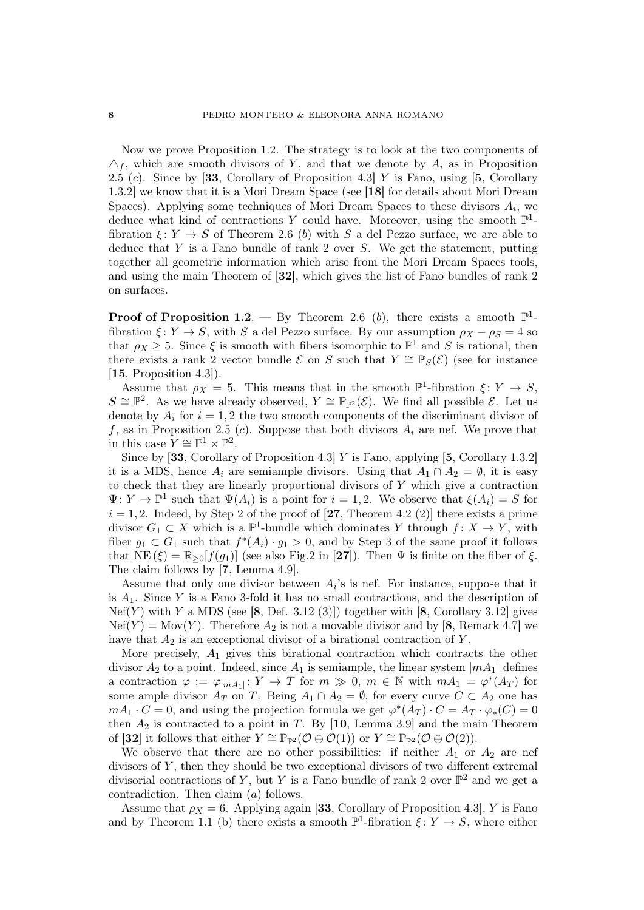Now we prove Proposition 1.2. The strategy is to look at the two components of  $\Delta_f$ , which are smooth divisors of Y, and that we denote by  $A_i$  as in Proposition 2.5 (c). Since by [33, Corollary of Proposition 4.3] Y is Fano, using [5, Corollary 1.3.2] we know that it is a Mori Dream Space (see [18] for details about Mori Dream Spaces). Applying some techniques of Mori Dream Spaces to these divisors  $A_i$ , we deduce what kind of contractions Y could have. Moreover, using the smooth  $\mathbb{P}^1$ fibration  $\xi: Y \to S$  of Theorem 2.6 (b) with S a del Pezzo surface, we are able to deduce that  $Y$  is a Fano bundle of rank 2 over  $S$ . We get the statement, putting together all geometric information which arise from the Mori Dream Spaces tools, and using the main Theorem of [32], which gives the list of Fano bundles of rank 2 on surfaces.

**Proof of Proposition 1.2**. — By Theorem 2.6 (b), there exists a smooth  $\mathbb{P}^1$ fibration  $\xi: Y \to S$ , with S a del Pezzo surface. By our assumption  $\rho_X - \rho_S = 4$  so that  $\rho_X \geq 5$ . Since  $\xi$  is smooth with fibers isomorphic to  $\mathbb{P}^1$  and S is rational, then there exists a rank 2 vector bundle E on S such that  $Y \cong \mathbb{P}_S(\mathcal{E})$  (see for instance  $[15,$  Proposition 4.3]).

Assume that  $\rho_X = 5$ . This means that in the smooth  $\mathbb{P}^1$ -fibration  $\xi \colon Y \to S$ ,  $S \cong \mathbb{P}^2$ . As we have already observed,  $Y \cong \mathbb{P}_{\mathbb{P}^2}(\mathcal{E})$ . We find all possible  $\mathcal{E}$ . Let us denote by  $A_i$  for  $i = 1, 2$  the two smooth components of the discriminant divisor of f, as in Proposition 2.5 (c). Suppose that both divisors  $A_i$  are nef. We prove that in this case  $Y \cong \mathbb{P}^1 \times \mathbb{P}^2$ .

Since by [33, Corollary of Proposition 4.3] Y is Fano, applying [5, Corollary 1.3.2] it is a MDS, hence  $A_i$  are semiample divisors. Using that  $A_1 \cap A_2 = \emptyset$ , it is easy to check that they are linearly proportional divisors of Y which give a contraction  $\Psi: Y \to \mathbb{P}^1$  such that  $\Psi(A_i)$  is a point for  $i = 1, 2$ . We observe that  $\xi(A_i) = S$  for  $i = 1, 2$ . Indeed, by Step 2 of the proof of [27, Theorem 4.2 (2)] there exists a prime divisor  $G_1 \subset X$  which is a  $\mathbb{P}^1$ -bundle which dominates Y through  $f: X \to Y$ , with fiber  $g_1 \,\subset G_1$  such that  $f^*(A_i) \cdot g_1 > 0$ , and by Step 3 of the same proof it follows that  $NE(\xi) = \mathbb{R}_{\geq 0}[f(g_1)]$  (see also Fig.2 in [27]). Then  $\Psi$  is finite on the fiber of  $\xi$ . The claim follows by [7, Lemma 4.9].

Assume that only one divisor between  $A_i$ 's is nef. For instance, suppose that it is  $A_1$ . Since Y is a Fano 3-fold it has no small contractions, and the description of  $Nef(Y)$  with Y a MDS (see [8, Def. 3.12 (3)]) together with [8, Corollary 3.12] gives  $Nef(Y) = Mov(Y)$ . Therefore  $A_2$  is not a movable divisor and by [8, Remark 4.7] we have that  $A_2$  is an exceptional divisor of a birational contraction of Y.

More precisely,  $A_1$  gives this birational contraction which contracts the other divisor  $A_2$  to a point. Indeed, since  $A_1$  is semiample, the linear system  $|mA_1|$  defines a contraction  $\varphi := \varphi_{|mA_1|} : Y \to T$  for  $m \gg 0, m \in \mathbb{N}$  with  $mA_1 = \varphi^*(A_T)$  for some ample divisor  $A_T$  on T. Being  $A_1 \cap A_2 = \emptyset$ , for every curve  $C \subset A_2$  one has  $mA_1 \cdot C = 0$ , and using the projection formula we get  $\varphi^*(A_T) \cdot C = A_T \cdot \varphi_*(C) = 0$ then  $A_2$  is contracted to a point in T. By [10, Lemma 3.9] and the main Theorem of [32] it follows that either  $Y \cong \mathbb{P}_{\mathbb{P}^2}(\mathcal{O} \oplus \mathcal{O}(1))$  or  $Y \cong \mathbb{P}_{\mathbb{P}^2}(\mathcal{O} \oplus \mathcal{O}(2)).$ 

We observe that there are no other possibilities: if neither  $A_1$  or  $A_2$  are nef divisors of  $Y$ , then they should be two exceptional divisors of two different extremal divisorial contractions of Y, but Y is a Fano bundle of rank 2 over  $\mathbb{P}^2$  and we get a contradiction. Then claim (a) follows.

Assume that  $\rho_X = 6$ . Applying again [33, Corollary of Proposition 4.3], Y is Fano and by Theorem 1.1 (b) there exists a smooth  $\mathbb{P}^1$ -fibration  $\xi: Y \to S$ , where either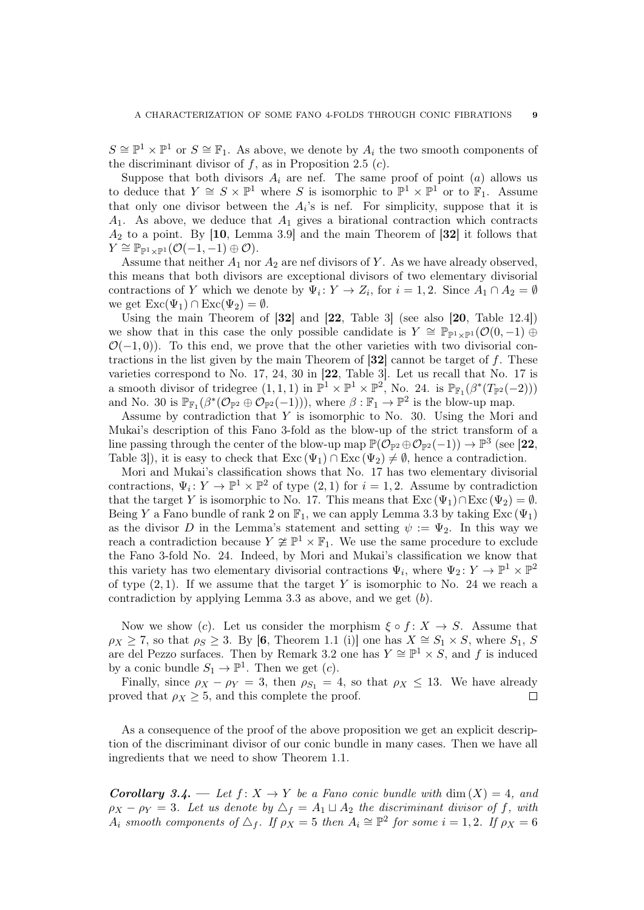$S \cong \mathbb{P}^1 \times \mathbb{P}^1$  or  $S \cong \mathbb{F}_1$ . As above, we denote by  $A_i$  the two smooth components of the discriminant divisor of  $f$ , as in Proposition 2.5  $(c)$ .

Suppose that both divisors  $A_i$  are nef. The same proof of point  $(a)$  allows us to deduce that  $Y \cong S \times \mathbb{P}^1$  where S is isomorphic to  $\mathbb{P}^1 \times \mathbb{P}^1$  or to  $\mathbb{F}_1$ . Assume that only one divisor between the  $A_i$ 's is nef. For simplicity, suppose that it is  $A_1$ . As above, we deduce that  $A_1$  gives a birational contraction which contracts  $A_2$  to a point. By [10, Lemma 3.9] and the main Theorem of [32] it follows that  $Y \cong \mathbb{P}_{\mathbb{P}^1 \times \mathbb{P}^1}(\mathcal{O}(-1,-1) \oplus \mathcal{O}).$ 

Assume that neither  $A_1$  nor  $A_2$  are nef divisors of Y. As we have already observed, this means that both divisors are exceptional divisors of two elementary divisorial contractions of Y which we denote by  $\Psi_i: Y \to Z_i$ , for  $i = 1, 2$ . Since  $A_1 \cap A_2 = \emptyset$ we get  $\text{Exc}(\Psi_1) \cap \text{Exc}(\Psi_2) = \emptyset$ .

Using the main Theorem of  $[32]$  and  $[22,$  Table 3] (see also  $[20,$  Table 12.4]) we show that in this case the only possible candidate is  $Y \cong \mathbb{P}_{\mathbb{P}^1 \times \mathbb{P}^1}(\mathcal{O}(0, -1) \oplus$  $\mathcal{O}(-1,0)$ ). To this end, we prove that the other varieties with two divisorial contractions in the list given by the main Theorem of  $[32]$  cannot be target of f. These varieties correspond to No. 17, 24, 30 in [22, Table 3]. Let us recall that No. 17 is a smooth divisor of tridegree  $(1,1,1)$  in  $\mathbb{P}^1 \times \mathbb{P}^1 \times \mathbb{P}^2$ , No. 24. is  $\mathbb{P}_{\mathbb{F}_1}(\beta^*(T_{\mathbb{P}^2}(-2)))$ and No. 30 is  $\mathbb{P}_{\mathbb{F}_1}(\beta^*(\mathcal{O}_{\mathbb{P}^2} \oplus \mathcal{O}_{\mathbb{P}^2}(-1))),$  where  $\beta : \mathbb{F}_1 \to \mathbb{P}^2$  is the blow-up map.

Assume by contradiction that  $Y$  is isomorphic to No. 30. Using the Mori and Mukai's description of this Fano 3-fold as the blow-up of the strict transform of a line passing through the center of the blow-up map  $\mathbb{P}(\mathcal{O}_{\mathbb{P}^2} \oplus \mathcal{O}_{\mathbb{P}^2}(-1)) \to \mathbb{P}^3$  (see [22, Table 3]), it is easy to check that  $\text{Exc}(\Psi_1) \cap \text{Exc}(\Psi_2) \neq \emptyset$ , hence a contradiction.

Mori and Mukai's classification shows that No. 17 has two elementary divisorial contractions,  $\Psi_i: Y \to \mathbb{P}^1 \times \mathbb{P}^2$  of type  $(2,1)$  for  $i=1,2$ . Assume by contradiction that the target Y is isomorphic to No. 17. This means that  $\text{Exc}(\Psi_1) \cap \text{Exc}(\Psi_2) = \emptyset$ . Being Y a Fano bundle of rank 2 on  $\mathbb{F}_1$ , we can apply Lemma 3.3 by taking Exc ( $\Psi_1$ ) as the divisor D in the Lemma's statement and setting  $\psi := \Psi_2$ . In this way we reach a contradiction because  $Y \not\cong \mathbb{P}^1 \times \mathbb{F}_1$ . We use the same procedure to exclude the Fano 3-fold No. 24. Indeed, by Mori and Mukai's classification we know that this variety has two elementary divisorial contractions  $\Psi_i$ , where  $\Psi_2: Y \to \mathbb{P}^1 \times \mathbb{P}^2$ of type  $(2, 1)$ . If we assume that the target Y is isomorphic to No. 24 we reach a contradiction by applying Lemma 3.3 as above, and we get (b).

Now we show (c). Let us consider the morphism  $\xi \circ f : X \to S$ . Assume that  $\rho_X \geq 7$ , so that  $\rho_S \geq 3$ . By [6, Theorem 1.1 (i)] one has  $X \cong S_1 \times S$ , where  $S_1$ , S are del Pezzo surfaces. Then by Remark 3.2 one has  $Y \cong \mathbb{P}^1 \times S$ , and f is induced by a conic bundle  $S_1 \to \mathbb{P}^1$ . Then we get  $(c)$ .

Finally, since  $\rho_X - \rho_Y = 3$ , then  $\rho_{S_1} = 4$ , so that  $\rho_X \leq 13$ . We have already proved that  $\rho_X \geq 5$ , and this complete the proof.  $\Box$ 

As a consequence of the proof of the above proposition we get an explicit description of the discriminant divisor of our conic bundle in many cases. Then we have all ingredients that we need to show Theorem 1.1.

**Corollary 3.4.** — Let  $f: X \to Y$  be a Fano conic bundle with  $\dim(X) = 4$ , and  $\rho_X - \rho_Y = 3$ . Let us denote by  $\Delta_f = A_1 \sqcup A_2$  the discriminant divisor of f, with  $A_i$  smooth components of  $\Delta_f$ . If  $\rho_X = 5$  then  $A_i \cong \mathbb{P}^2$  for some  $i = 1, 2$ . If  $\rho_X = 6$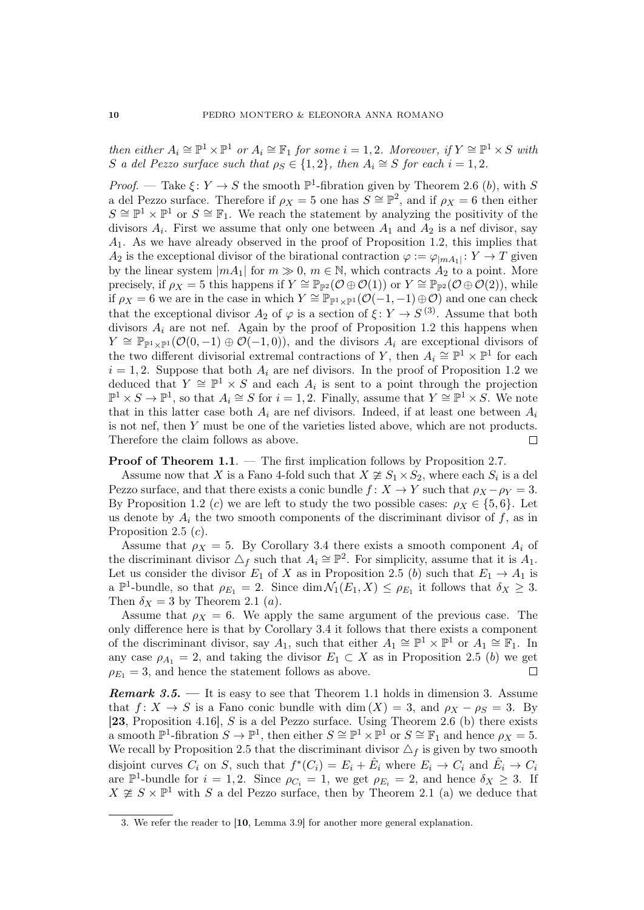then either  $A_i \cong \mathbb{P}^1 \times \mathbb{P}^1$  or  $A_i \cong \mathbb{F}_1$  for some  $i = 1, 2$ . Moreover, if  $Y \cong \mathbb{P}^1 \times S$  with S a del Pezzo surface such that  $\rho_S \in \{1,2\}$ , then  $A_i \cong S$  for each  $i = 1,2$ .

*Proof.* — Take  $\xi: Y \to S$  the smooth  $\mathbb{P}^1$ -fibration given by Theorem 2.6 (b), with S a del Pezzo surface. Therefore if  $\rho_X = 5$  one has  $S \cong \mathbb{P}^2$ , and if  $\rho_X = 6$  then either  $S \cong \mathbb{P}^1 \times \mathbb{P}^1$  or  $S \cong \mathbb{F}_1$ . We reach the statement by analyzing the positivity of the divisors  $A_i$ . First we assume that only one between  $A_1$  and  $A_2$  is a nef divisor, say A1. As we have already observed in the proof of Proposition 1.2, this implies that  $A_2$  is the exceptional divisor of the birational contraction  $\varphi := \varphi_{|mA_1|} \colon Y \to T$  given by the linear system  $|mA_1|$  for  $m \gg 0$ ,  $m \in \mathbb{N}$ , which contracts  $A_2$  to a point. More precisely, if  $\rho_X = 5$  this happens if  $Y \cong \mathbb{P}_{\mathbb{P}^2}(\mathcal{O} \oplus \mathcal{O}(1))$  or  $Y \cong \mathbb{P}_{\mathbb{P}^2}(\mathcal{O} \oplus \mathcal{O}(2))$ , while if  $\rho_X = 6$  we are in the case in which  $Y \cong \mathbb{P}_{\mathbb{P}^1 \times \mathbb{P}^1}(\mathcal{O}(-1,-1) \oplus \mathcal{O})$  and one can check that the exceptional divisor  $A_2$  of  $\varphi$  is a section of  $\xi: Y \to S^{(3)}$ . Assume that both divisors  $A_i$  are not nef. Again by the proof of Proposition 1.2 this happens when  $Y \cong \mathbb{P}_{\mathbb{P}^1 \times \mathbb{P}^1}(\mathcal{O}(0,-1) \oplus \mathcal{O}(-1,0)),$  and the divisors  $A_i$  are exceptional divisors of the two different divisorial extremal contractions of Y, then  $A_i \cong \mathbb{P}^1 \times \mathbb{P}^1$  for each  $i = 1, 2$ . Suppose that both  $A_i$  are nef divisors. In the proof of Proposition 1.2 we deduced that  $Y \cong \mathbb{P}^1 \times S$  and each  $A_i$  is sent to a point through the projection  $\mathbb{P}^1 \times S \to \mathbb{P}^1$ , so that  $A_i \cong S$  for  $i = 1, 2$ . Finally, assume that  $Y \cong \mathbb{P}^1 \times S$ . We note that in this latter case both  $A_i$  are nef divisors. Indeed, if at least one between  $A_i$ is not nef, then Y must be one of the varieties listed above, which are not products. Therefore the claim follows as above.  $\Box$ 

Proof of Theorem 1.1. — The first implication follows by Proposition 2.7.

Assume now that X is a Fano 4-fold such that  $X \not\cong S_1 \times S_2$ , where each  $S_i$  is a del Pezzo surface, and that there exists a conic bundle  $f: X \to Y$  such that  $\rho_X - \rho_Y = 3$ . By Proposition 1.2 (c) we are left to study the two possible cases:  $\rho_X \in \{5, 6\}$ . Let us denote by  $A_i$  the two smooth components of the discriminant divisor of f, as in Proposition 2.5  $(c)$ .

Assume that  $\rho_X = 5$ . By Corollary 3.4 there exists a smooth component  $A_i$  of the discriminant divisor  $\triangle_f$  such that  $A_i \cong \mathbb{P}^2$ . For simplicity, assume that it is  $A_1$ . Let us consider the divisor  $E_1$  of X as in Proposition 2.5 (b) such that  $E_1 \rightarrow A_1$  is a  $\mathbb{P}^1$ -bundle, so that  $\rho_{E_1} = 2$ . Since  $\dim \mathcal{N}_1(E_1, X) \leq \rho_{E_1}$  it follows that  $\delta_X \geq 3$ . Then  $\delta_X = 3$  by Theorem 2.1 (*a*).

Assume that  $\rho_X = 6$ . We apply the same argument of the previous case. The only difference here is that by Corollary 3.4 it follows that there exists a component of the discriminant divisor, say  $A_1$ , such that either  $A_1 \cong \mathbb{P}^1 \times \mathbb{P}^1$  or  $A_1 \cong \mathbb{F}_1$ . In any case  $\rho_{A_1} = 2$ , and taking the divisor  $E_1 \subset X$  as in Proposition 2.5 (b) we get  $\rho_{E_1} = 3$ , and hence the statement follows as above.  $\Box$ 

**Remark 3.5.** — It is easy to see that Theorem 1.1 holds in dimension 3. Assume that  $f: X \to S$  is a Fano conic bundle with dim  $(X) = 3$ , and  $\rho_X - \rho_S = 3$ . By [23, Proposition 4.16], S is a del Pezzo surface. Using Theorem 2.6 (b) there exists a smooth  $\mathbb{P}^1$ -fibration  $S \to \mathbb{P}^1$ , then either  $S \cong \mathbb{P}^1 \times \mathbb{P}^1$  or  $S \cong \mathbb{F}_1$  and hence  $\rho_X = 5$ . We recall by Proposition 2.5 that the discriminant divisor  $\Delta_f$  is given by two smooth disjoint curves  $C_i$  on S, such that  $f^*(C_i) = E_i + \hat{E}_i$  where  $E_i \to C_i$  and  $\hat{E}_i \to C_i$ are  $\mathbb{P}^1$ -bundle for  $i = 1, 2$ . Since  $\rho_{C_i} = 1$ , we get  $\rho_{E_i} = 2$ , and hence  $\delta_X \geq 3$ . If  $X \ncong S \times \mathbb{P}^1$  with S a del Pezzo surface, then by Theorem 2.1 (a) we deduce that

<sup>3.</sup> We refer the reader to [10, Lemma 3.9] for another more general explanation.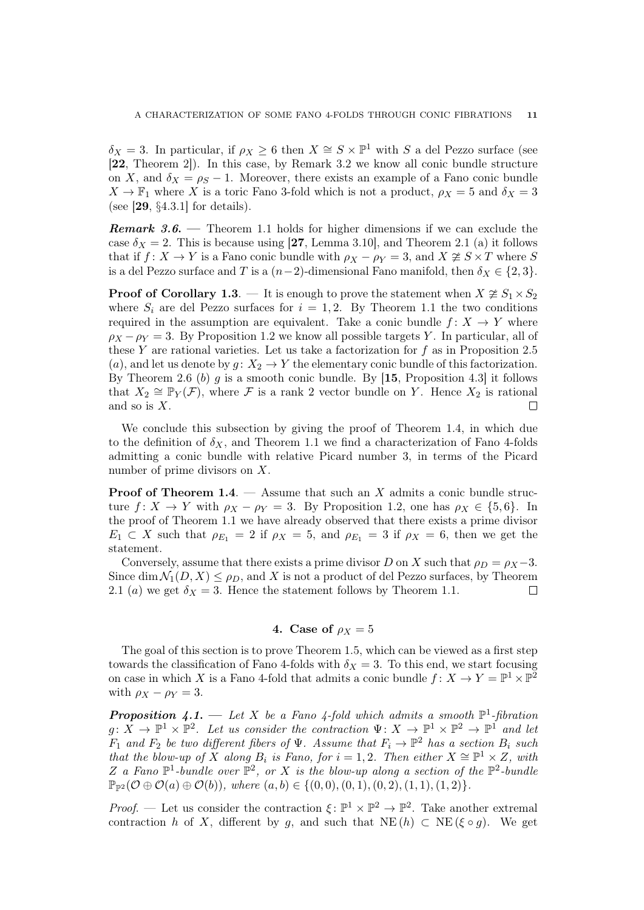$\delta_X = 3$ . In particular, if  $\rho_X \geq 6$  then  $X \cong S \times \mathbb{P}^1$  with S a del Pezzo surface (see [22, Theorem 2]). In this case, by Remark 3.2 we know all conic bundle structure on X, and  $\delta_X = \rho_S - 1$ . Moreover, there exists an example of a Fano conic bundle  $X \to \mathbb{F}_1$  where X is a toric Fano 3-fold which is not a product,  $\rho_X = 5$  and  $\delta_X = 3$ (see [29, §4.3.1] for details).

**Remark 3.6.** — Theorem 1.1 holds for higher dimensions if we can exclude the case  $\delta_X = 2$ . This is because using [27, Lemma 3.10], and Theorem 2.1 (a) it follows that if  $f: X \to Y$  is a Fano conic bundle with  $\rho_X - \rho_Y = 3$ , and  $X \ncong S \times T$  where S is a del Pezzo surface and T is a  $(n-2)$ -dimensional Fano manifold, then  $\delta_X \in \{2,3\}$ .

**Proof of Corollary 1.3.** — It is enough to prove the statement when  $X \ncong S_1 \times S_2$ where  $S_i$  are del Pezzo surfaces for  $i = 1, 2$ . By Theorem 1.1 the two conditions required in the assumption are equivalent. Take a conic bundle  $f: X \to Y$  where  $\rho_X - \rho_Y = 3$ . By Proposition 1.2 we know all possible targets Y. In particular, all of these Y are rational varieties. Let us take a factorization for  $f$  as in Proposition 2.5 (a), and let us denote by  $g: X_2 \to Y$  the elementary conic bundle of this factorization. By Theorem 2.6 (b) g is a smooth conic bundle. By  $[15,$  Proposition 4.3 it follows that  $X_2 \cong \mathbb{P}_Y(\mathcal{F})$ , where  $\mathcal F$  is a rank 2 vector bundle on Y. Hence  $X_2$  is rational and so is  $X$ .  $\Box$ 

We conclude this subsection by giving the proof of Theorem 1.4, in which due to the definition of  $\delta_X$ , and Theorem 1.1 we find a characterization of Fano 4-folds admitting a conic bundle with relative Picard number 3, in terms of the Picard number of prime divisors on X.

**Proof of Theorem 1.4.** — Assume that such an X admits a conic bundle structure  $f: X \to Y$  with  $\rho_X - \rho_Y = 3$ . By Proposition 1.2, one has  $\rho_X \in \{5, 6\}$ . In the proof of Theorem 1.1 we have already observed that there exists a prime divisor  $E_1 \subset X$  such that  $\rho_{E_1} = 2$  if  $\rho_X = 5$ , and  $\rho_{E_1} = 3$  if  $\rho_X = 6$ , then we get the statement.

Conversely, assume that there exists a prime divisor D on X such that  $\rho_D = \rho_X - 3$ . Since dim  $\mathcal{N}_1(D, X) \leq \rho_D$ , and X is not a product of del Pezzo surfaces, by Theorem 2.1 (a) we get  $\delta_X = 3$ . Hence the statement follows by Theorem 1.1.  $\Box$ 

# 4. Case of  $\rho_X = 5$

The goal of this section is to prove Theorem 1.5, which can be viewed as a first step towards the classification of Fano 4-folds with  $\delta_X = 3$ . To this end, we start focusing on case in which X is a Fano 4-fold that admits a conic bundle  $f: X \to Y = \mathbb{P}^1 \times \mathbb{P}^2$ with  $\rho_X - \rho_Y = 3$ .

**Proposition 4.1.**  $\longrightarrow$  Let X be a Fano 4-fold which admits a smooth  $\mathbb{P}^1$ -fibration  $g: X \to \mathbb{P}^1 \times \mathbb{P}^2$ . Let us consider the contraction  $\Psi: X \to \mathbb{P}^1 \times \mathbb{P}^2 \to \mathbb{P}^1$  and let  $F_1$  and  $F_2$  be two different fibers of  $\Psi$ . Assume that  $F_i \to \mathbb{P}^2$  has a section  $B_i$  such that the blow-up of X along  $B_i$  is Fano, for  $i = 1, 2$ . Then either  $X \cong \mathbb{P}^1 \times Z$ , with Z a Fano  $\mathbb{P}^1$ -bundle over  $\mathbb{P}^2$ , or X is the blow-up along a section of the  $\mathbb{P}^2$ -bundle  $\mathbb{P}_{\mathbb{P}^2}(\mathcal{O}\oplus \mathcal{O}(a)\oplus \mathcal{O}(b)),$  where  $(a, b) \in \{(0, 0), (0, 1), (0, 2), (1, 1), (1, 2)\}.$ 

*Proof.* — Let us consider the contraction  $\xi : \mathbb{P}^1 \times \mathbb{P}^2 \to \mathbb{P}^2$ . Take another extremal contraction h of X, different by q, and such that  $NE(h) \subset NE(\xi \circ q)$ . We get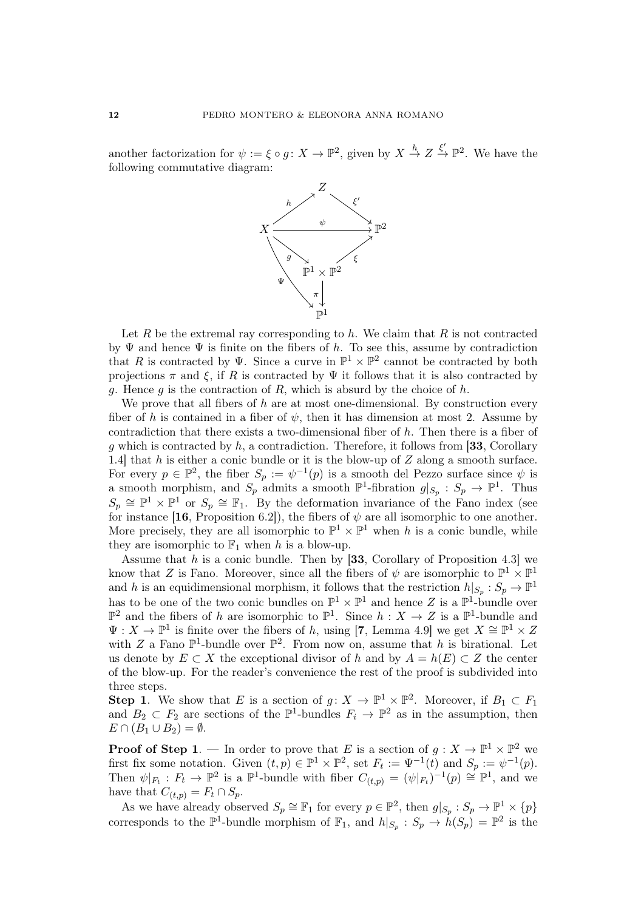another factorization for  $\psi := \xi \circ g: X \to \mathbb{P}^2$ , given by  $X \stackrel{h}{\to} Z \stackrel{\xi'}{\to} \mathbb{P}^2$ . We have the following commutative diagram:



Let R be the extremal ray corresponding to  $h$ . We claim that R is not contracted by  $\Psi$  and hence  $\Psi$  is finite on the fibers of h. To see this, assume by contradiction that R is contracted by  $\Psi$ . Since a curve in  $\mathbb{P}^1 \times \mathbb{P}^2$  cannot be contracted by both projections  $\pi$  and  $\xi$ , if R is contracted by  $\Psi$  it follows that it is also contracted by g. Hence g is the contraction of R, which is absurd by the choice of  $h$ .

We prove that all fibers of h are at most one-dimensional. By construction every fiber of h is contained in a fiber of  $\psi$ , then it has dimension at most 2. Assume by contradiction that there exists a two-dimensional fiber of h. Then there is a fiber of q which is contracted by h, a contradiction. Therefore, it follows from [33, Corollary 1.4] that  $h$  is either a conic bundle or it is the blow-up of  $Z$  along a smooth surface. For every  $p \in \mathbb{P}^2$ , the fiber  $S_p := \psi^{-1}(p)$  is a smooth del Pezzo surface since  $\psi$  is a smooth morphism, and  $S_p$  admits a smooth  $\mathbb{P}^1$ -fibration  $g|_{S_p}: S_p \to \mathbb{P}^1$ . Thus  $S_p \cong \mathbb{P}^1 \times \mathbb{P}^1$  or  $S_p \cong \mathbb{F}_1$ . By the deformation invariance of the Fano index (see for instance [16, Proposition 6.2]), the fibers of  $\psi$  are all isomorphic to one another. More precisely, they are all isomorphic to  $\mathbb{P}^1 \times \mathbb{P}^1$  when h is a conic bundle, while they are isomorphic to  $\mathbb{F}_1$  when h is a blow-up.

Assume that  $h$  is a conic bundle. Then by [33, Corollary of Proposition 4.3] we know that Z is Fano. Moreover, since all the fibers of  $\psi$  are isomorphic to  $\mathbb{P}^1 \times \mathbb{P}^1$ and h is an equidimensional morphism, it follows that the restriction  $h|_{S_p}: S_p \to \mathbb{P}^1$ has to be one of the two conic bundles on  $\mathbb{P}^1 \times \mathbb{P}^1$  and hence Z is a  $\mathbb{P}^1$ -bundle over  $\mathbb{P}^2$  and the fibers of h are isomorphic to  $\mathbb{P}^1$ . Since  $h: X \to Z$  is a  $\mathbb{P}^1$ -bundle and  $\Psi: X \to \mathbb{P}^1$  is finite over the fibers of h, using [7, Lemma 4.9] we get  $X \cong \mathbb{P}^1 \times Z$ with Z a Fano  $\mathbb{P}^1$ -bundle over  $\mathbb{P}^2$ . From now on, assume that h is birational. Let us denote by  $E \subset X$  the exceptional divisor of h and by  $A = h(E) \subset Z$  the center of the blow-up. For the reader's convenience the rest of the proof is subdivided into three steps.

**Step 1**. We show that E is a section of  $g: X \to \mathbb{P}^1 \times \mathbb{P}^2$ . Moreover, if  $B_1 \subset F_1$ and  $B_2 \subset F_2$  are sections of the  $\mathbb{P}^1$ -bundles  $F_i \to \mathbb{P}^2$  as in the assumption, then  $E \cap (B_1 \cup B_2) = \emptyset.$ 

**Proof of Step 1**. — In order to prove that E is a section of  $g: X \to \mathbb{P}^1 \times \mathbb{P}^2$  we first fix some notation. Given  $(t, p) \in \mathbb{P}^1 \times \mathbb{P}^2$ , set  $F_t := \Psi^{-1}(t)$  and  $S_p := \psi^{-1}(p)$ . Then  $\psi|_{F_t}: F_t \to \mathbb{P}^2$  is a  $\mathbb{P}^1$ -bundle with fiber  $C_{(t,p)} = (\psi|_{F_t})^{-1}(p) \cong \mathbb{P}^1$ , and we have that  $C_{(t,p)} = F_t \cap S_p$ .

As we have already observed  $S_p \cong \mathbb{F}_1$  for every  $p \in \mathbb{P}^2$ , then  $g|_{S_p}: S_p \to \mathbb{P}^1 \times \{p\}$ corresponds to the  $\mathbb{P}^1$ -bundle morphism of  $\mathbb{F}_1$ , and  $h|_{S_p}: S_p \to \dot{h}(S_p) = \mathbb{P}^2$  is the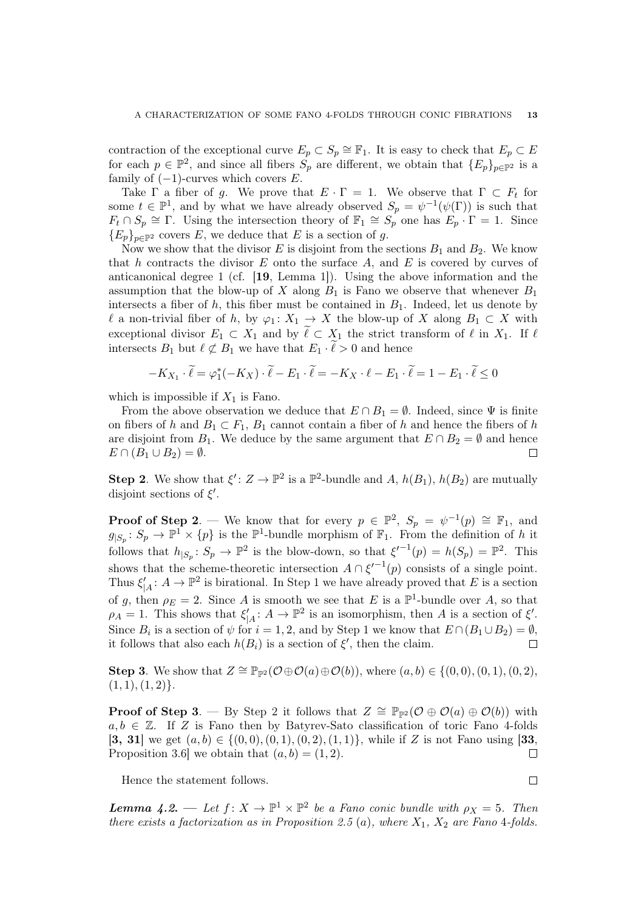contraction of the exceptional curve  $E_p \subset S_p \cong \mathbb{F}_1$ . It is easy to check that  $E_p \subset E$ for each  $p \in \mathbb{P}^2$ , and since all fibers  $S_p$  are different, we obtain that  $\{E_p\}_{p\in\mathbb{P}^2}$  is a family of  $(-1)$ -curves which covers E.

Take  $\Gamma$  a fiber of g. We prove that  $E \cdot \Gamma = 1$ . We observe that  $\Gamma \subset F_t$  for some  $t \in \mathbb{P}^1$ , and by what we have already observed  $S_p = \psi^{-1}(\psi(\Gamma))$  is such that  $F_t \cap S_p \cong \Gamma$ . Using the intersection theory of  $\mathbb{F}_1 \cong S_p$  one has  $E_p \cdot \Gamma = 1$ . Since  ${E_p}_{n \in \mathbb{P}^2}$  covers E, we deduce that E is a section of g.

Now we show that the divisor E is disjoint from the sections  $B_1$  and  $B_2$ . We know that h contracts the divisor  $E$  onto the surface  $A$ , and  $E$  is covered by curves of anticanonical degree 1 (cf. [19, Lemma 1]). Using the above information and the assumption that the blow-up of X along  $B_1$  is Fano we observe that whenever  $B_1$ intersects a fiber of h, this fiber must be contained in  $B_1$ . Indeed, let us denote by  $\ell$  a non-trivial fiber of h, by  $\varphi_1 : X_1 \to X$  the blow-up of X along  $B_1 \subset X$  with exceptional divisor  $E_1 \subset X_1$  and by  $\widetilde{\ell} \subset X_1$  the strict transform of  $\ell$  in  $X_1$ . If  $\ell$ intersects  $B_1$  but  $\ell \not\subset B_1$  we have that  $E_1 \cdot \ell > 0$  and hence

$$
-K_{X_1} \cdot \widetilde{\ell} = \varphi_1^*(-K_X) \cdot \widetilde{\ell} - E_1 \cdot \widetilde{\ell} = -K_X \cdot \ell - E_1 \cdot \widetilde{\ell} = 1 - E_1 \cdot \widetilde{\ell} \le 0
$$

which is impossible if  $X_1$  is Fano.

From the above observation we deduce that  $E \cap B_1 = \emptyset$ . Indeed, since  $\Psi$  is finite on fibers of h and  $B_1 \subset F_1$ ,  $B_1$  cannot contain a fiber of h and hence the fibers of h are disjoint from  $B_1$ . We deduce by the same argument that  $E \cap B_2 = \emptyset$  and hence  $E \cap (B_1 \cup B_2) = \emptyset.$  $\Box$ 

**Step 2**. We show that  $\xi' : Z \to \mathbb{P}^2$  is a  $\mathbb{P}^2$ -bundle and A,  $h(B_1)$ ,  $h(B_2)$  are mutually disjoint sections of  $\xi'$ .

**Proof of Step 2**. — We know that for every  $p \in \mathbb{P}^2$ ,  $S_p = \psi^{-1}(p) \cong \mathbb{F}_1$ , and  $g_{|S_p}: S_p \to \mathbb{P}^1 \times \{p\}$  is the  $\mathbb{P}^1$ -bundle morphism of  $\mathbb{F}_1$ . From the definition of h it follows that  $h_{|S_p}: S_p \to \mathbb{P}^2$  is the blow-down, so that  $\xi'^{-1}(p) = h(S_p) = \mathbb{P}^2$ . This shows that the scheme-theoretic intersection  $A \cap \xi'^{-1}(p)$  consists of a single point. Thus  $\xi'_{|A}: A \to \mathbb{P}^2$  is birational. In Step 1 we have already proved that E is a section of g, then  $\rho_E = 2$ . Since A is smooth we see that E is a  $\mathbb{P}^1$ -bundle over A, so that  $\rho_A = 1$ . This shows that  $\xi'_{|A}: A \to \mathbb{P}^2$  is an isomorphism, then A is a section of  $\xi'$ . Since  $B_i$  is a section of  $\psi$  for  $i = 1, 2$ , and by Step 1 we know that  $E \cap (B_1 \cup B_2) = \emptyset$ , it follows that also each  $h(B_i)$  is a section of  $\xi'$ , then the claim.  $\Box$ 

Step 3. We show that  $Z \cong \mathbb{P}_{\mathbb{P}^2}(\mathcal{O} \oplus \mathcal{O}(a) \oplus \mathcal{O}(b))$ , where  $(a, b) \in \{(0, 0), (0, 1), (0, 2),\}$  $(1, 1), (1, 2)$ .

**Proof of Step 3.** — By Step 2 it follows that  $Z \cong \mathbb{P}_{\mathbb{P}^2}(\mathcal{O} \oplus \mathcal{O}(a) \oplus \mathcal{O}(b))$  with  $a, b \in \mathbb{Z}$ . If Z is Fano then by Batyrev-Sato classification of toric Fano 4-folds [3, 31] we get  $(a, b) \in \{(0, 0), (0, 1), (0, 2), (1, 1)\}$ , while if Z is not Fano using [33, Proposition 3.6 we obtain that  $(a, b) = (1, 2)$ .  $\Box$ 

Hence the statement follows.

**Lemma 4.2.** — Let  $f: X \to \mathbb{P}^1 \times \mathbb{P}^2$  be a Fano conic bundle with  $\rho_X = 5$ . Then there exists a factorization as in Proposition 2.5 (a), where  $X_1$ ,  $X_2$  are Fano 4-folds.

 $\Box$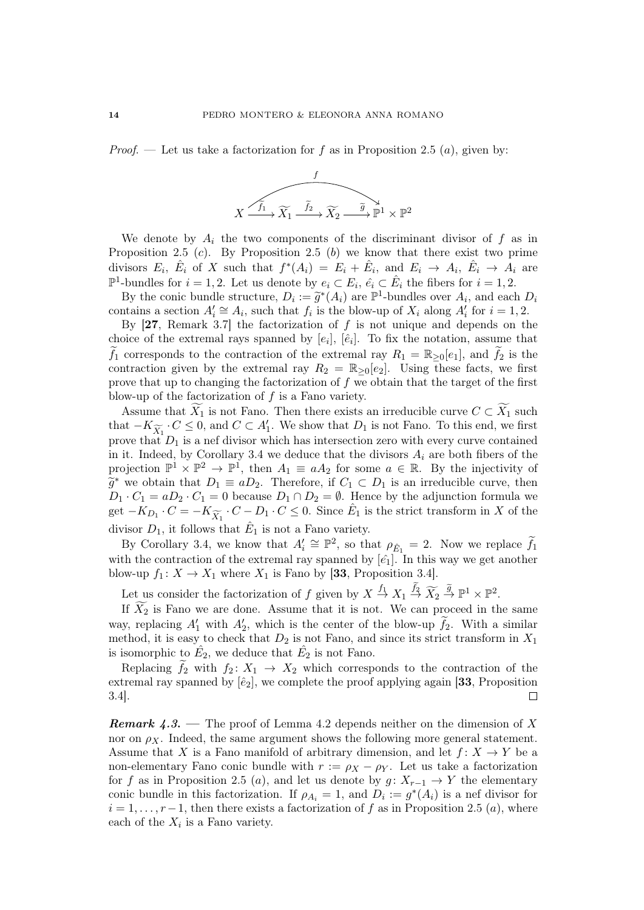*Proof.* — Let us take a factorization for f as in Proposition 2.5 (a), given by:



We denote by  $A_i$  the two components of the discriminant divisor of f as in Proposition 2.5  $(c)$ . By Proposition 2.5  $(b)$  we know that there exist two prime divisors  $E_i$ ,  $\hat{E}_i$  of X such that  $f^*(A_i) = E_i + \hat{E}_i$ , and  $E_i \rightarrow A_i$ ,  $\hat{E}_i \rightarrow A_i$  are  $\mathbb{P}^1$ -bundles for  $i = 1, 2$ . Let us denote by  $e_i \subset E_i$ ,  $\hat{e_i} \subset \hat{E_i}$  the fibers for  $i = 1, 2$ .

By the conic bundle structure,  $D_i := \tilde{g}^*(A_i)$  are  $\mathbb{P}^1$ -bundles over  $A_i$ , and each  $D_i$ <br>ortains a section  $A' \simeq A_i$ , such that f, is the blow-up of X, along  $A'$  for  $i = 1, 2$ contains a section  $A'_i \cong A_i$ , such that  $f_i$  is the blow-up of  $X_i$  along  $A'_i$  for  $i = 1, 2$ .

By  $[27,$  Remark 3.7 the factorization of f is not unique and depends on the choice of the extremal rays spanned by  $[e_i]$ ,  $[\hat{e}_i]$ . To fix the notation, assume that  $\tilde{f}_1$  corresponds to the contraction of the extremal ray  $R_1 = \mathbb{R}_{\geq 0}[e_1]$ , and  $f_2$  is the contraction given by the extremal ray  $R_2 = \mathbb{R}_{\geq 0}[e_2]$ . Using these facts, we first prove that up to changing the factorization of  $f$  we obtain that the target of the first blow-up of the factorization of f is a Fano variety.

Assume that  $X_1$  is not Fano. Then there exists an irreducible curve  $C \subset X_1$  such  $K_1 \subset \mathbb{C}$ that  $-K_{\widetilde{X}_1}$   $\cdot C \leq 0$ , and  $C \subset A'_1$ . We show that  $D_1$  is not Fano. To this end, we first prove that  $D_1$  is a nef divisor which has intersection zero with every curve contained in it. Indeed, by Corollary 3.4 we deduce that the divisors  $A_i$  are both fibers of the projection  $\mathbb{P}^1 \times \mathbb{P}^2 \to \mathbb{P}^1$ , then  $A_1 \equiv aA_2$  for some  $a \in \mathbb{R}$ . By the injectivity of  $\widetilde{g}^*$  we obtain that  $D_1 \equiv aD_2$ . Therefore, if  $C_1 \subset D_1$  is an irreducible curve, then  $D_1, C_2 = aD_2, C_3 = 0$  because  $D_1 \cap D_2 = \emptyset$ . Hence by the ediunction formula we  $D_1 \cdot C_1 = aD_2 \cdot C_1 = 0$  because  $D_1 \cap D_2 = \emptyset$ . Hence by the adjunction formula we get  $-K_{D_1} \cdot C = -K_{\widetilde{X}_1} \cdot C - D_1 \cdot C \leq 0$ . Since  $\hat{E}_1$  is the strict transform in X of the divisor  $D_1$ , it follows that  $\hat{E}_1$  is not a Fano variety.

By Corollary 3.4, we know that  $A'_i \cong \mathbb{P}^2$ , so that  $\rho_{\hat{E}_1} = 2$ . Now we replace  $\tilde{f}_1$ with the contraction of the extremal ray spanned by  $\left[\hat{e}_1\right]$ . In this way we get another blow-up  $f_1: X \to X_1$  where  $X_1$  is Fano by [33, Proposition 3.4].

Let us consider the factorization of f given by  $X \stackrel{f_1}{\rightarrow} X_1 \stackrel{f_2}{\rightarrow} \widetilde{X_2} \stackrel{\widetilde{g}}{\rightarrow} \mathbb{P}^1 \times \mathbb{P}^2$ .

If  $\widetilde{X}_2$  is Fano we are done. Assume that it is not. We can proceed in the same way, replacing  $A'_1$  with  $A'_2$ , which is the center of the blow-up  $\tilde{f}_2$ . With a similar method, it is easy to check that  $D_2$  is not Fano, and since its strict transform in  $X_1$ is isomorphic to  $\hat{E_2}$ , we deduce that  $\hat{E_2}$  is not Fano.

Replacing  $f_2$  with  $f_2: X_1 \rightarrow X_2$  which corresponds to the contraction of the extremal ray spanned by  $\left[\hat{e}_2\right]$ , we complete the proof applying again [33, Proposition 3.4]. П

**Remark 4.3.** — The proof of Lemma 4.2 depends neither on the dimension of X nor on  $\rho_X$ . Indeed, the same argument shows the following more general statement. Assume that X is a Fano manifold of arbitrary dimension, and let  $f: X \to Y$  be a non-elementary Fano conic bundle with  $r := \rho_X - \rho_Y$ . Let us take a factorization for f as in Proposition 2.5 (a), and let us denote by  $g: X_{r-1} \to Y$  the elementary conic bundle in this factorization. If  $\rho_{A_i} = 1$ , and  $D_i := g^*(A_i)$  is a nef divisor for  $i = 1, \ldots, r-1$ , then there exists a factorization of f as in Proposition 2.5 (a), where each of the  $X_i$  is a Fano variety.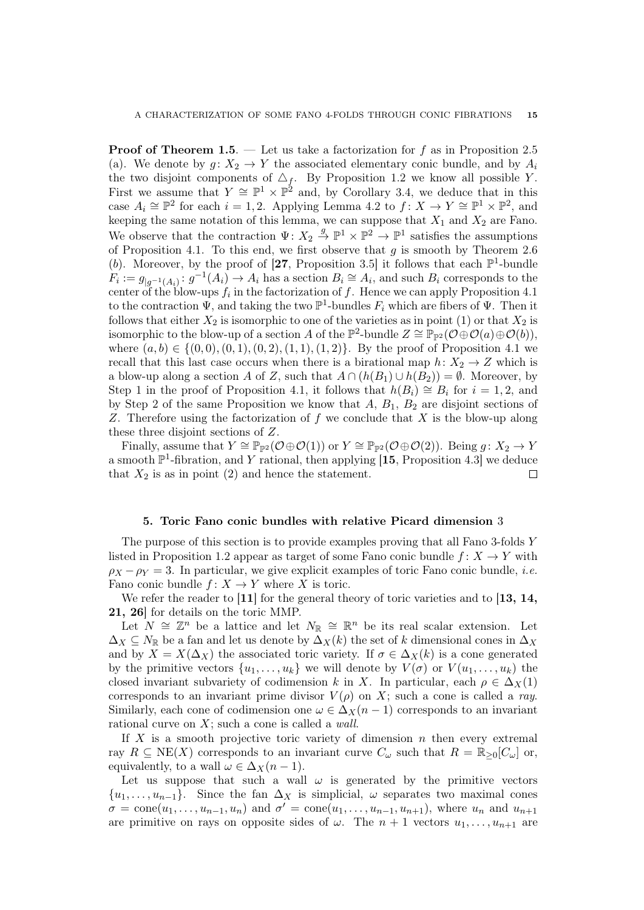**Proof of Theorem 1.5.** — Let us take a factorization for f as in Proposition 2.5 (a). We denote by  $g: X_2 \to Y$  the associated elementary conic bundle, and by  $A_i$ the two disjoint components of  $\Delta_f$ . By Proposition 1.2 we know all possible Y. First we assume that  $Y \cong \mathbb{P}^1 \times \mathbb{P}^2$  and, by Corollary 3.4, we deduce that in this case  $A_i \cong \mathbb{P}^2$  for each  $i = 1, 2$ . Applying Lemma 4.2 to  $f: X \to Y \cong \mathbb{P}^1 \times \mathbb{P}^2$ , and keeping the same notation of this lemma, we can suppose that  $X_1$  and  $X_2$  are Fano. We observe that the contraction  $\Psi: X_2 \stackrel{g}{\to} \mathbb{P}^1 \times \mathbb{P}^2 \to \mathbb{P}^1$  satisfies the assumptions of Proposition 4.1. To this end, we first observe that  $g$  is smooth by Theorem 2.6 (b). Moreover, by the proof of [27, Proposition 3.5] it follows that each  $\mathbb{P}^1$ -bundle  $F_i := g_{|g^{-1}(A_i)} : g^{-1}(A_i) \to A_i$  has a section  $B_i \cong A_i$ , and such  $B_i$  corresponds to the center of the blow-ups  $f_i$  in the factorization of  $f$ . Hence we can apply Proposition 4.1 to the contraction  $\Psi$ , and taking the two  $\mathbb{P}^1$ -bundles  $F_i$  which are fibers of  $\Psi$ . Then it follows that either  $X_2$  is isomorphic to one of the varieties as in point (1) or that  $X_2$  is isomorphic to the blow-up of a section A of the  $\mathbb{P}^2$ -bundle  $Z \cong \mathbb{P}_{\mathbb{P}^2}(\mathcal{O} \oplus \mathcal{O}(a) \oplus \mathcal{O}(b)),$ where  $(a, b) \in \{ (0, 0), (0, 1), (0, 2), (1, 1), (1, 2) \}.$  By the proof of Proposition 4.1 we recall that this last case occurs when there is a birational map  $h: X_2 \to Z$  which is a blow-up along a section A of Z, such that  $A \cap (h(B_1) \cup h(B_2)) = \emptyset$ . Moreover, by Step 1 in the proof of Proposition 4.1, it follows that  $h(B_i) \cong B_i$  for  $i = 1, 2$ , and by Step 2 of the same Proposition we know that  $A, B_1, B_2$  are disjoint sections of Z. Therefore using the factorization of  $f$  we conclude that  $X$  is the blow-up along these three disjoint sections of Z.

Finally, assume that  $Y \cong \mathbb{P}_{\mathbb{P}^2}(\mathcal{O} \oplus \mathcal{O}(1))$  or  $Y \cong \mathbb{P}_{\mathbb{P}^2}(\mathcal{O} \oplus \mathcal{O}(2))$ . Being  $g \colon X_2 \to Y$ a smooth  $\mathbb{P}^1$ -fibration, and Y rational, then applying [15, Proposition 4.3] we deduce that  $X_2$  is as in point (2) and hence the statement. П

#### 5. Toric Fano conic bundles with relative Picard dimension 3

The purpose of this section is to provide examples proving that all Fano 3-folds Y listed in Proposition 1.2 appear as target of some Fano conic bundle  $f: X \to Y$  with  $\rho_X - \rho_Y = 3$ . In particular, we give explicit examples of toric Fano conic bundle, *i.e.* Fano conic bundle  $f: X \to Y$  where X is toric.

We refer the reader to  $\left[11\right]$  for the general theory of toric varieties and to  $\left[13, 14, \right]$ 21, 26] for details on the toric MMP.

Let  $N \cong \mathbb{Z}^n$  be a lattice and let  $N_{\mathbb{R}} \cong \mathbb{R}^n$  be its real scalar extension. Let  $\Delta_X \subseteq N_{\mathbb{R}}$  be a fan and let us denote by  $\Delta_X(k)$  the set of k dimensional cones in  $\Delta_X$ and by  $X = X(\Delta_X)$  the associated toric variety. If  $\sigma \in \Delta_X(k)$  is a cone generated by the primitive vectors  $\{u_1, \ldots, u_k\}$  we will denote by  $V(\sigma)$  or  $V(u_1, \ldots, u_k)$  the closed invariant subvariety of codimension k in X. In particular, each  $\rho \in \Delta_X(1)$ corresponds to an invariant prime divisor  $V(\rho)$  on X; such a cone is called a ray. Similarly, each cone of codimension one  $\omega \in \Delta_X(n-1)$  corresponds to an invariant rational curve on X; such a cone is called a wall.

If  $X$  is a smooth projective toric variety of dimension  $n$  then every extremal ray  $R \subseteq \text{NE}(X)$  corresponds to an invariant curve  $C_{\omega}$  such that  $R = \mathbb{R}_{\geq 0}[C_{\omega}]$  or, equivalently, to a wall  $\omega \in \Delta_X(n-1)$ .

Let us suppose that such a wall  $\omega$  is generated by the primitive vectors  $\{u_1, \ldots, u_{n-1}\}.$  Since the fan  $\Delta_X$  is simplicial,  $\omega$  separates two maximal cones  $\sigma = \text{cone}(u_1, \ldots, u_{n-1}, u_n)$  and  $\sigma' = \text{cone}(u_1, \ldots, u_{n-1}, u_{n+1})$ , where  $u_n$  and  $u_{n+1}$ are primitive on rays on opposite sides of  $\omega$ . The  $n + 1$  vectors  $u_1, \ldots, u_{n+1}$  are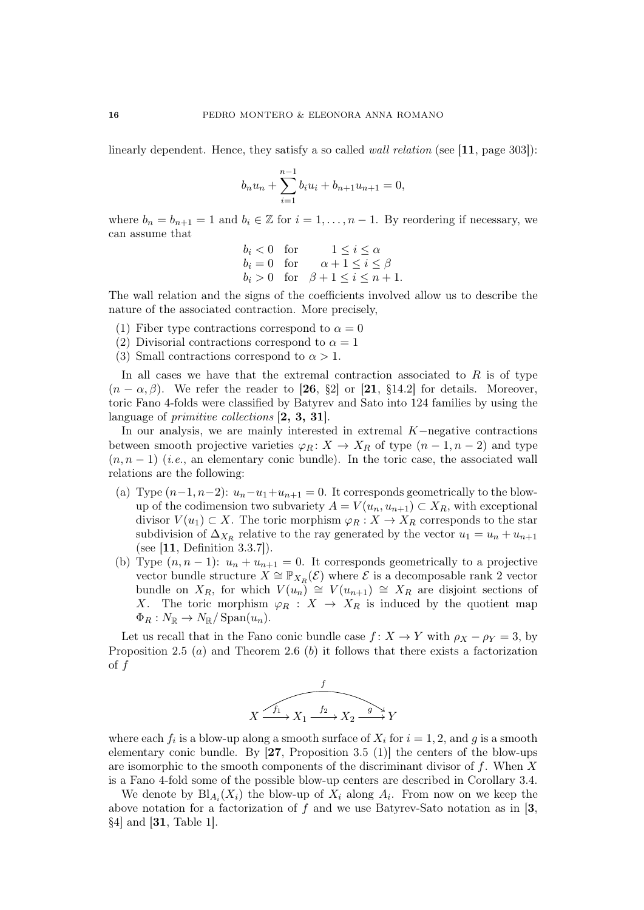linearly dependent. Hence, they satisfy a so called *wall relation* (see [11, page 303]):

$$
b_n u_n + \sum_{i=1}^{n-1} b_i u_i + b_{n+1} u_{n+1} = 0,
$$

where  $b_n = b_{n+1} = 1$  and  $b_i \in \mathbb{Z}$  for  $i = 1, \ldots, n-1$ . By reordering if necessary, we can assume that

> $b_i < 0$  for  $1 \leq i \leq \alpha$  $b_i = 0$  for  $\alpha + 1 \leq i \leq \beta$  $b_i > 0$  for  $\beta + 1 \leq i \leq n + 1$ .

The wall relation and the signs of the coefficients involved allow us to describe the nature of the associated contraction. More precisely,

- (1) Fiber type contractions correspond to  $\alpha = 0$
- (2) Divisorial contractions correspond to  $\alpha = 1$
- (3) Small contractions correspond to  $\alpha > 1$ .

In all cases we have that the extremal contraction associated to  $R$  is of type  $(n - \alpha, \beta)$ . We refer the reader to [26, §2] or [21, §14.2] for details. Moreover, toric Fano 4-folds were classified by Batyrev and Sato into 124 families by using the language of *primitive collections* [2, 3, 31].

In our analysis, we are mainly interested in extremal K−negative contractions between smooth projective varieties  $\varphi_R: X \to X_R$  of type  $(n-1, n-2)$  and type  $(n, n-1)$  (*i.e.*, an elementary conic bundle). In the toric case, the associated wall relations are the following:

- (a) Type  $(n-1, n-2)$ :  $u_n-u_1+u_{n+1}=0$ . It corresponds geometrically to the blowup of the codimension two subvariety  $A = V(u_n, u_{n+1}) \subset X_R$ , with exceptional divisor  $V(u_1) \subset X$ . The toric morphism  $\varphi_R : X \to X_R$  corresponds to the star subdivision of  $\Delta_{X_R}$  relative to the ray generated by the vector  $u_1 = u_n + u_{n+1}$ (see [11, Definition 3.3.7]).
- (b) Type  $(n, n 1)$ :  $u_n + u_{n+1} = 0$ . It corresponds geometrically to a projective vector bundle structure  $X \cong \mathbb{P}_{X_R}(\mathcal{E})$  where  $\mathcal{E}$  is a decomposable rank 2 vector bundle on  $X_R$ , for which  $V(u_n) \cong V(u_{n+1}) \cong X_R$  are disjoint sections of X. The toric morphism  $\varphi_R : X \to X_R$  is induced by the quotient map  $\Phi_R : N_{\mathbb{R}} \to N_{\mathbb{R}}/ \operatorname{Span}(u_n).$

Let us recall that in the Fano conic bundle case  $f: X \to Y$  with  $\rho_X - \rho_Y = 3$ , by Proposition 2.5 (*a*) and Theorem 2.6 (*b*) it follows that there exists a factorization  $\int f$ 



where each  $f_i$  is a blow-up along a smooth surface of  $X_i$  for  $i = 1, 2$ , and g is a smooth elementary conic bundle. By  $[27,$  Proposition 3.5 (1)] the centers of the blow-ups are isomorphic to the smooth components of the discriminant divisor of  $f$ . When  $X$ is a Fano 4-fold some of the possible blow-up centers are described in Corollary 3.4.

We denote by  $\text{Bl}_{A_i}(X_i)$  the blow-up of  $X_i$  along  $A_i$ . From now on we keep the above notation for a factorization of  $f$  and we use Batyrev-Sato notation as in [3, §4] and [31, Table 1].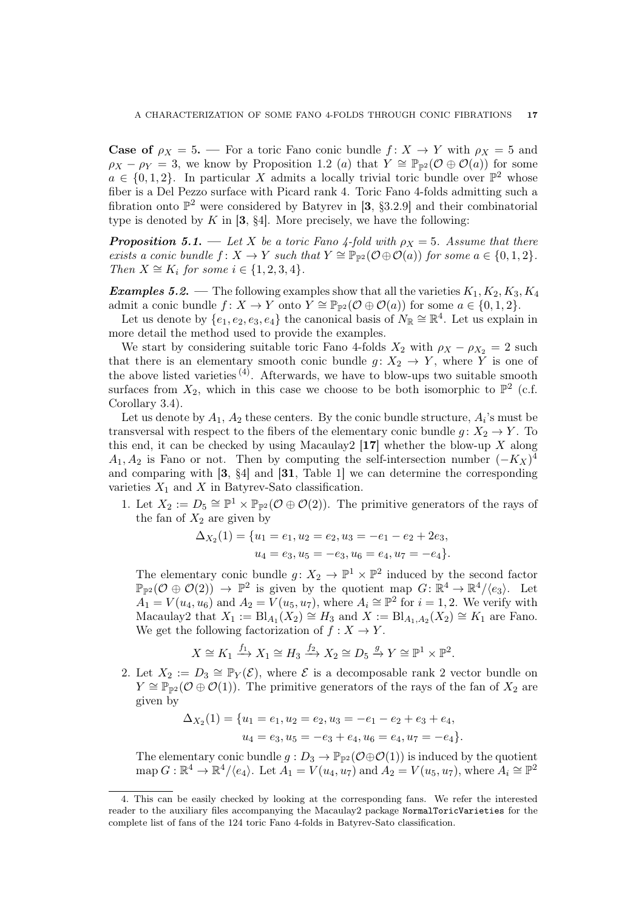**Case of**  $\rho_X = 5$ . — For a toric Fano conic bundle  $f: X \to Y$  with  $\rho_X = 5$  and  $\rho_X - \rho_Y = 3$ , we know by Proposition 1.2 (a) that  $\tilde{Y} \cong \mathbb{P}_{\mathbb{P}^2}(\mathcal{O} \oplus \mathcal{O}(a))$  for some  $a \in \{0, 1, 2\}$ . In particular X admits a locally trivial toric bundle over  $\mathbb{P}^2$  whose fiber is a Del Pezzo surface with Picard rank 4. Toric Fano 4-folds admitting such a fibration onto  $\mathbb{P}^2$  were considered by Batyrev in [3, §3.2.9] and their combinatorial type is denoted by  $K$  in [3, §4]. More precisely, we have the following:

**Proposition 5.1.** — Let X be a toric Fano 4-fold with  $\rho_X = 5$ . Assume that there exists a conic bundle  $f: X \to Y$  such that  $Y \cong \mathbb{P}_{\mathbb{P}^2}(\mathcal{O} \oplus \mathcal{O}(a))$  for some  $a \in \{0, 1, 2\}$ . Then  $X \cong K_i$  for some  $i \in \{1, 2, 3, 4\}.$ 

**Examples 5.2.** — The following examples show that all the varieties  $K_1, K_2, K_3, K_4$ admit a conic bundle  $f: X \to Y$  onto  $Y \cong \mathbb{P}_{\mathbb{P}^2}(\mathcal{O} \oplus \mathcal{O}(a))$  for some  $a \in \{0, 1, 2\}$ .

Let us denote by  $\{e_1, e_2, e_3, e_4\}$  the canonical basis of  $N_{\mathbb{R}} \cong \mathbb{R}^4$ . Let us explain in more detail the method used to provide the examples.

We start by considering suitable toric Fano 4-folds  $X_2$  with  $\rho_X - \rho_{X_2} = 2$  such that there is an elementary smooth conic bundle  $g: X_2 \to Y$ , where Y is one of the above listed varieties  $(4)$ . Afterwards, we have to blow-ups two suitable smooth surfaces from  $X_2$ , which in this case we choose to be both isomorphic to  $\mathbb{P}^2$  (c.f. Corollary 3.4).

Let us denote by  $A_1$ ,  $A_2$  these centers. By the conic bundle structure,  $A_i$ 's must be transversal with respect to the fibers of the elementary conic bundle  $q: X_2 \to Y$ . To this end, it can be checked by using Macaulay  $2 \lceil 17 \rceil$  whether the blow-up X along  $A_1, A_2$  is Fano or not. Then by computing the self-intersection number  $(-K_X)^4$ and comparing with [3, §4] and [31, Table 1] we can determine the corresponding varieties  $X_1$  and X in Batyrev-Sato classification.

1. Let  $X_2 := D_5 \cong \mathbb{P}^1 \times \mathbb{P}_{\mathbb{P}^2}(\mathcal{O} \oplus \mathcal{O}(2)).$  The primitive generators of the rays of the fan of  $X_2$  are given by

$$
\Delta_{X_2}(1) = \{u_1 = e_1, u_2 = e_2, u_3 = -e_1 - e_2 + 2e_3, u_4 = e_3, u_5 = -e_3, u_6 = e_4, u_7 = -e_4\}.
$$

The elementary conic bundle  $g: X_2 \to \mathbb{P}^1 \times \mathbb{P}^2$  induced by the second factor  $\mathbb{P}_{\mathbb{P}^2}(\mathcal{O}\oplus\mathcal{O}(2))\to\mathbb{P}^2$  is given by the quotient map  $G:\mathbb{R}^4\to\mathbb{R}^4/\langle e_3\rangle$ . Let  $A_1 = V(u_4, u_6)$  and  $A_2 = V(u_5, u_7)$ , where  $A_i \cong \mathbb{P}^2$  for  $i = 1, 2$ . We verify with Macaulay2 that  $X_1 := \text{Bl}_{A_1}(X_2) \cong H_3$  and  $X := \text{Bl}_{A_1,A_2}(X_2) \cong K_1$  are Fano. We get the following factorization of  $f : X \to Y$ .

$$
X \cong K_1 \xrightarrow{f_1} X_1 \cong H_3 \xrightarrow{f_2} X_2 \cong D_5 \xrightarrow{g} Y \cong \mathbb{P}^1 \times \mathbb{P}^2.
$$

2. Let  $X_2 := D_3 \cong \mathbb{P}_Y(\mathcal{E})$ , where  $\mathcal E$  is a decomposable rank 2 vector bundle on  $Y \cong \mathbb{P}_{\mathbb{P}^2}(\mathcal{O} \oplus \mathcal{O}(1))$ . The primitive generators of the rays of the fan of  $X_2$  are given by

$$
\Delta_{X_2}(1) = \{u_1 = e_1, u_2 = e_2, u_3 = -e_1 - e_2 + e_3 + e_4, u_4 = e_3, u_5 = -e_3 + e_4, u_6 = e_4, u_7 = -e_4\}.
$$

The elementary conic bundle  $g: D_3 \to \mathbb{P}_{\mathbb{P}^2}(\mathcal{O} \oplus \mathcal{O}(1))$  is induced by the quotient map  $G: \mathbb{R}^4 \to \mathbb{R}^4/\langle e_4 \rangle$ . Let  $A_1 = V(u_4, u_7)$  and  $A_2 = V(u_5, u_7)$ , where  $A_i \cong \mathbb{P}^2$ 

<sup>4.</sup> This can be easily checked by looking at the corresponding fans. We refer the interested reader to the auxiliary files accompanying the Macaulay2 package NormalToricVarieties for the complete list of fans of the 124 toric Fano 4-folds in Batyrev-Sato classification.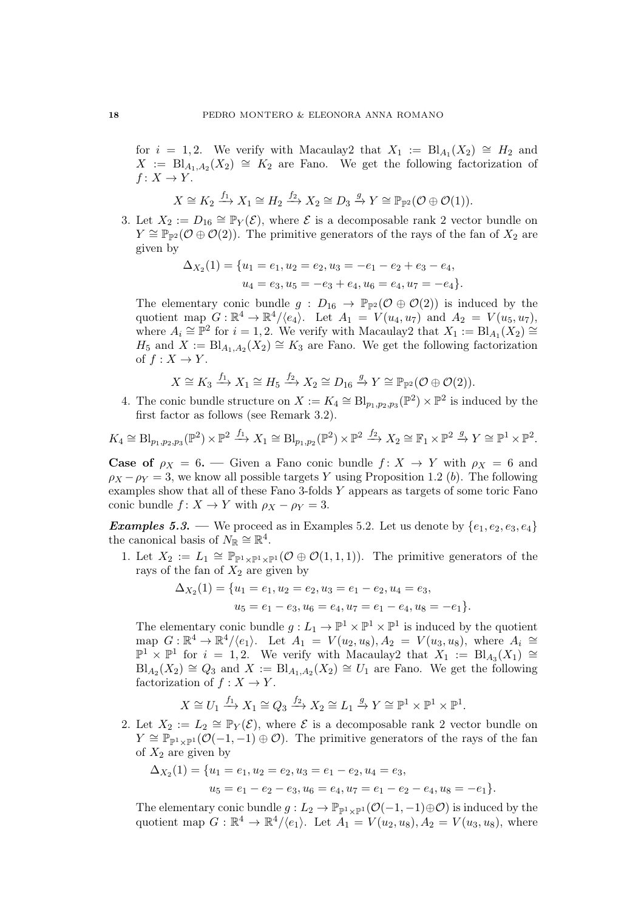for  $i = 1, 2$ . We verify with Macaulay2 that  $X_1 := \text{Bl}_{A_1}(X_2) \cong H_2$  and  $X := \text{Bl}_{A_1,A_2}(X_2) \cong K_2$  are Fano. We get the following factorization of  $f: X \to Y$ .

$$
X \cong K_2 \xrightarrow{f_1} X_1 \cong H_2 \xrightarrow{f_2} X_2 \cong D_3 \xrightarrow{g} Y \cong \mathbb{P}_{\mathbb{P}^2}(\mathcal{O} \oplus \mathcal{O}(1)).
$$

3. Let  $X_2 := D_{16} \cong \mathbb{P}_Y(\mathcal{E})$ , where  $\mathcal E$  is a decomposable rank 2 vector bundle on  $Y \cong \mathbb{P}_{\mathbb{P}^2}(\mathcal{O} \oplus \mathcal{O}(2))$ . The primitive generators of the rays of the fan of  $X_2$  are given by

$$
\Delta_{X_2}(1) = \{u_1 = e_1, u_2 = e_2, u_3 = -e_1 - e_2 + e_3 - e_4, u_4 = e_3, u_5 = -e_3 + e_4, u_6 = e_4, u_7 = -e_4\}.
$$

The elementary conic bundle  $g : D_{16} \to \mathbb{P}_{\mathbb{P}^2}(\mathcal{O} \oplus \mathcal{O}(2))$  is induced by the quotient map  $G: \mathbb{R}^4 \to \mathbb{R}^4/\langle e_4 \rangle$ . Let  $A_1 = V(u_4, u_7)$  and  $A_2 = V(u_5, u_7)$ , where  $A_i \cong \mathbb{P}^2$  for  $i = 1, 2$ . We verify with Macaulay2 that  $X_1 := \text{Bl}_{A_1}(X_2) \cong$  $H_5$  and  $X := \text{Bl}_{A_1,A_2}(X_2) \cong K_3$  are Fano. We get the following factorization of  $f: X \to Y$ .

$$
X \cong K_3 \xrightarrow{f_1} X_1 \cong H_5 \xrightarrow{f_2} X_2 \cong D_{16} \xrightarrow{g} Y \cong \mathbb{P}_{\mathbb{P}^2}(\mathcal{O} \oplus \mathcal{O}(2)).
$$

4. The conic bundle structure on  $X := K_4 \cong Bl_{p_1,p_2,p_3}(\mathbb{P}^2) \times \mathbb{P}^2$  is induced by the first factor as follows (see Remark 3.2).

$$
K_4 \cong \text{Bl}_{p_1, p_2, p_3}(\mathbb{P}^2) \times \mathbb{P}^2 \xrightarrow{f_1} X_1 \cong \text{Bl}_{p_1, p_2}(\mathbb{P}^2) \times \mathbb{P}^2 \xrightarrow{f_2} X_2 \cong \mathbb{F}_1 \times \mathbb{P}^2 \xrightarrow{g} Y \cong \mathbb{P}^1 \times \mathbb{P}^2.
$$

**Case of**  $\rho_X = 6$ . — Given a Fano conic bundle  $f: X \to Y$  with  $\rho_X = 6$  and  $\rho_X - \rho_Y = 3$ , we know all possible targets Y using Proposition 1.2 (b). The following examples show that all of these Fano 3-folds Y appears as targets of some toric Fano conic bundle  $f: X \to Y$  with  $\rho_X - \rho_Y = 3$ .

**Examples 5.3.** — We proceed as in Examples 5.2. Let us denote by  $\{e_1, e_2, e_3, e_4\}$ the canonical basis of  $N_{\mathbb{R}} \cong \mathbb{R}^4$ .

1. Let  $X_2 := L_1 \cong \mathbb{P}_{\mathbb{P}^1 \times \mathbb{P}^1 \times \mathbb{P}^1}(\mathcal{O} \oplus \mathcal{O}(1,1,1)).$  The primitive generators of the rays of the fan of  $X_2$  are given by

$$
\Delta_{X_2}(1) = \{u_1 = e_1, u_2 = e_2, u_3 = e_1 - e_2, u_4 = e_3, u_5 = e_1 - e_3, u_6 = e_4, u_7 = e_1 - e_4, u_8 = -e_1\}.
$$

The elementary conic bundle  $g: L_1 \to \mathbb{P}^1 \times \mathbb{P}^1 \times \mathbb{P}^1$  is induced by the quotient map  $G: \mathbb{R}^4 \to \mathbb{R}^4/\langle e_1 \rangle$ . Let  $A_1 = V(u_2, u_8), A_2 = V(u_3, u_8)$ , where  $A_i \cong$  $\mathbb{P}^1$  ×  $\mathbb{P}^1$  for  $i = 1, 2$ . We verify with Macaulay2 that  $X_1 := \text{Bl}_{A_3}(X_1)$  ≅  $\text{Bl}_{A_2}(X_2) \cong Q_3$  and  $X := \text{Bl}_{A_1,A_2}(X_2) \cong U_1$  are Fano. We get the following factorization of  $f : X \to Y$ .

$$
X \cong U_1 \xrightarrow{f_1} X_1 \cong Q_3 \xrightarrow{f_2} X_2 \cong L_1 \xrightarrow{g} Y \cong \mathbb{P}^1 \times \mathbb{P}^1 \times \mathbb{P}^1.
$$

2. Let  $X_2 := L_2 \cong \mathbb{P}_Y(\mathcal{E})$ , where  $\mathcal E$  is a decomposable rank 2 vector bundle on  $Y \cong \mathbb{P}_{\mathbb{P}^1 \times \mathbb{P}^1}(\mathcal{O}(-1,-1) \oplus \mathcal{O})$ . The primitive generators of the rays of the fan of  $X_2$  are given by

$$
\Delta_{X_2}(1) = \{u_1 = e_1, u_2 = e_2, u_3 = e_1 - e_2, u_4 = e_3, u_5 = e_1 - e_2 - e_3, u_6 = e_4, u_7 = e_1 - e_2 - e_4, u_8 = -e_1\}.
$$

The elementary conic bundle  $g: L_2 \to \mathbb{P}_{\mathbb{P}^1 \times \mathbb{P}^1}(\mathcal{O}(-1,-1) \oplus \mathcal{O})$  is induced by the quotient map  $G: \mathbb{R}^4 \to \mathbb{R}^4/\langle e_1 \rangle$ . Let  $A_1 = V(u_2, u_8), A_2 = V(u_3, u_8)$ , where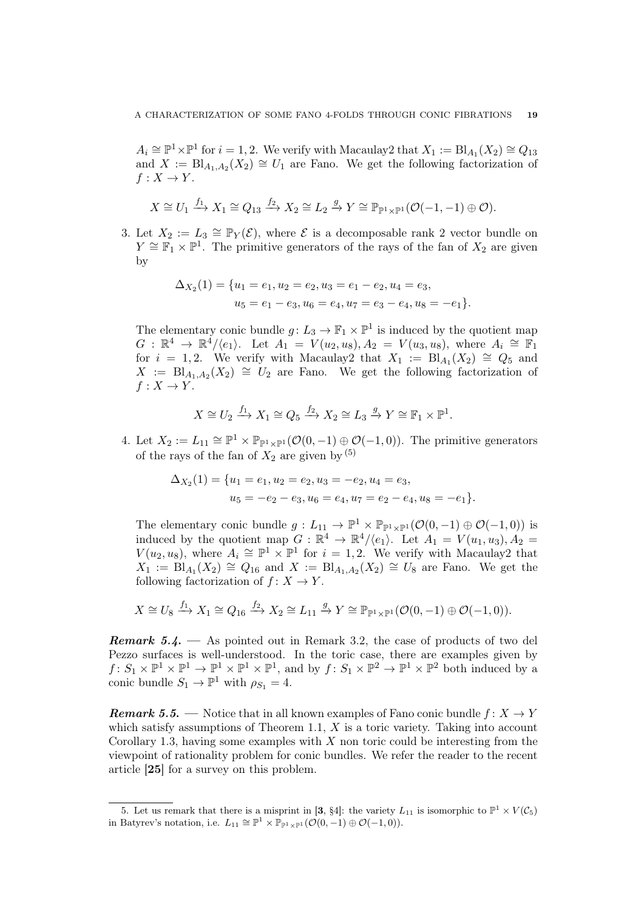$A_i \cong \mathbb{P}^1 \times \mathbb{P}^1$  for  $i = 1, 2$ . We verify with Macaulay2 that  $X_1 := \text{Bl}_{A_1}(X_2) \cong Q_{13}$ and  $X := \text{Bl}_{A_1,A_2}(X_2) \cong U_1$  are Fano. We get the following factorization of  $f: X \to Y$ .

$$
X \cong U_1 \xrightarrow{f_1} X_1 \cong Q_{13} \xrightarrow{f_2} X_2 \cong L_2 \xrightarrow{g} Y \cong \mathbb{P}_{\mathbb{P}^1 \times \mathbb{P}^1}(\mathcal{O}(-1,-1) \oplus \mathcal{O}).
$$

3. Let  $X_2 := L_3 \cong \mathbb{P}_Y(\mathcal{E})$ , where  $\mathcal E$  is a decomposable rank 2 vector bundle on  $Y \cong \mathbb{F}_1 \times \mathbb{P}^1$ . The primitive generators of the rays of the fan of  $X_2$  are given by

$$
\Delta_{X_2}(1) = \{u_1 = e_1, u_2 = e_2, u_3 = e_1 - e_2, u_4 = e_3, u_5 = e_1 - e_3, u_6 = e_4, u_7 = e_3 - e_4, u_8 = -e_1\}.
$$

The elementary conic bundle  $g: L_3 \to \mathbb{F}_1 \times \mathbb{P}^1$  is induced by the quotient map  $G: \mathbb{R}^4 \to \mathbb{R}^4/\langle e_1 \rangle$ . Let  $A_1 = V(u_2, u_8), A_2 = V(u_3, u_8)$ , where  $A_i \cong \mathbb{F}_1$ for  $i = 1, 2$ . We verify with Macaulay2 that  $X_1 := \text{Bl}_{A_1}(X_2) \cong Q_5$  and  $X := \text{Bl}_{A_1,A_2}(X_2) \cong U_2$  are Fano. We get the following factorization of  $f: X \rightarrow Y$ .

$$
X \cong U_2 \xrightarrow{f_1} X_1 \cong Q_5 \xrightarrow{f_2} X_2 \cong L_3 \xrightarrow{g} Y \cong \mathbb{F}_1 \times \mathbb{P}^1.
$$

4. Let  $X_2 := L_{11} \cong \mathbb{P}^1 \times \mathbb{P}_{\mathbb{P}^1 \times \mathbb{P}^1}(\mathcal{O}(0,-1) \oplus \mathcal{O}(-1,0)).$  The primitive generators of the rays of the fan of  $X_2$  are given by  $(5)$ 

$$
\Delta_{X_2}(1) = \{u_1 = e_1, u_2 = e_2, u_3 = -e_2, u_4 = e_3, u_5 = -e_2 - e_3, u_6 = e_4, u_7 = e_2 - e_4, u_8 = -e_1\}.
$$

The elementary conic bundle  $g: L_{11} \to \mathbb{P}^1 \times \mathbb{P}_{\mathbb{P}^1 \times \mathbb{P}^1}(\mathcal{O}(0,-1) \oplus \mathcal{O}(-1,0))$  is induced by the quotient map  $G : \mathbb{R}^4 \to \mathbb{R}^4/\langle e_1 \rangle$ . Let  $A_1 = V(u_1, u_3), A_2 =$  $V(u_2, u_8)$ , where  $A_i \cong \mathbb{P}^1 \times \mathbb{P}^1$  for  $i = 1, 2$ . We verify with Macaulay2 that  $X_1 := \text{Bl}_{A_1}(X_2) \cong Q_{16}$  and  $X := \text{Bl}_{A_1,A_2}(X_2) \cong U_8$  are Fano. We get the following factorization of  $f: X \to Y$ .

$$
X \cong U_8 \xrightarrow{f_1} X_1 \cong Q_{16} \xrightarrow{f_2} X_2 \cong L_{11} \xrightarrow{g} Y \cong \mathbb{P}_{\mathbb{P}^1 \times \mathbb{P}^1}(\mathcal{O}(0,-1) \oplus \mathcal{O}(-1,0)).
$$

**Remark 5.4.** — As pointed out in Remark 3.2, the case of products of two del Pezzo surfaces is well-understood. In the toric case, there are examples given by  $f: S_1 \times \mathbb{P}^1 \times \mathbb{P}^1 \times \mathbb{P}^1 \times \mathbb{P}^1$ , and by  $f: S_1 \times \mathbb{P}^2 \to \mathbb{P}^1 \times \mathbb{P}^2$  both induced by a conic bundle  $S_1 \to \mathbb{P}^1$  with  $\rho_{S_1} = 4$ .

**Remark 5.5.** — Notice that in all known examples of Fano conic bundle  $f: X \rightarrow Y$ which satisfy assumptions of Theorem 1.1,  $X$  is a toric variety. Taking into account Corollary 1.3, having some examples with  $X$  non toric could be interesting from the viewpoint of rationality problem for conic bundles. We refer the reader to the recent article [25] for a survey on this problem.

<sup>5.</sup> Let us remark that there is a misprint in [3, §4]: the variety  $L_{11}$  is isomorphic to  $\mathbb{P}^1 \times V(\mathcal{C}_5)$ in Batyrev's notation, i.e.  $L_{11} \cong \mathbb{P}^1 \times \mathbb{P}_{\mathbb{P}^1 \times \mathbb{P}^1} (\mathcal{O}(0,-1) \oplus \mathcal{O}(-1,0)).$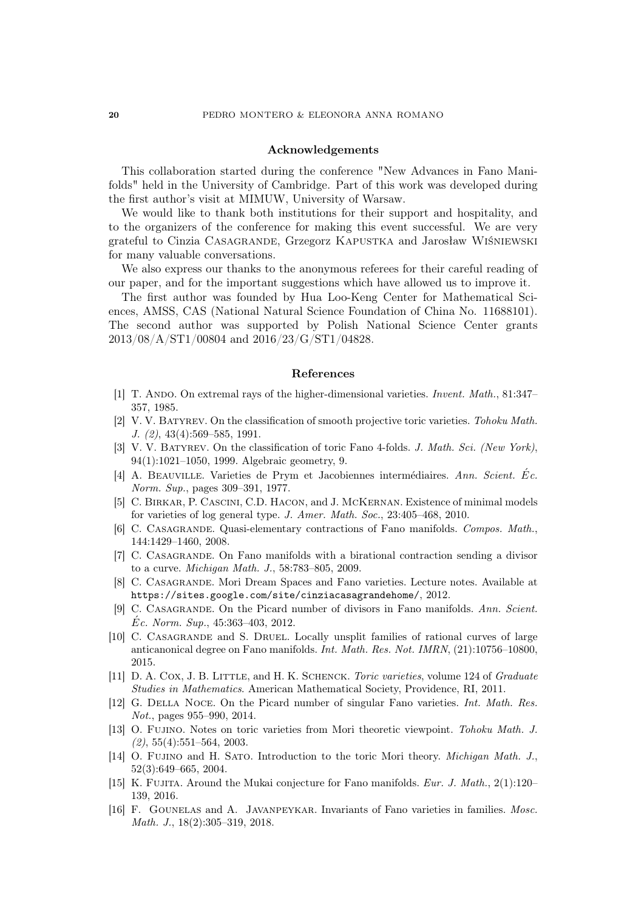#### Acknowledgements

This collaboration started during the conference "New Advances in Fano Manifolds" held in the University of Cambridge. Part of this work was developed during the first author's visit at MIMUW, University of Warsaw.

We would like to thank both institutions for their support and hospitality, and to the organizers of the conference for making this event successful. We are very grateful to Cinzia Casagrande, Grzegorz Kapustka and Jarosław Wiśniewski for many valuable conversations.

We also express our thanks to the anonymous referees for their careful reading of our paper, and for the important suggestions which have allowed us to improve it.

The first author was founded by Hua Loo-Keng Center for Mathematical Sciences, AMSS, CAS (National Natural Science Foundation of China No. 11688101). The second author was supported by Polish National Science Center grants 2013/08/A/ST1/00804 and 2016/23/G/ST1/04828.

#### References

- [1] T. ANDO. On extremal rays of the higher-dimensional varieties. Invent. Math., 81:347– 357, 1985.
- [2] V. V. Batyrev. On the classification of smooth projective toric varieties. Tohoku Math. J. (2), 43(4):569–585, 1991.
- [3] V. V. Batyrev. On the classification of toric Fano 4-folds. J. Math. Sci. (New York), 94(1):1021–1050, 1999. Algebraic geometry, 9.
- [4] A. BEAUVILLE. Varieties de Prym et Jacobiennes intermédiaires. Ann. Scient. Ec. Norm. Sup., pages 309–391, 1977.
- [5] C. Birkar, P. Cascini, C.D. Hacon, and J. McKernan. Existence of minimal models for varieties of log general type. J. Amer. Math. Soc., 23:405–468, 2010.
- [6] C. Casagrande. Quasi-elementary contractions of Fano manifolds. Compos. Math., 144:1429–1460, 2008.
- [7] C. Casagrande. On Fano manifolds with a birational contraction sending a divisor to a curve. Michigan Math. J., 58:783–805, 2009.
- [8] C. Casagrande. Mori Dream Spaces and Fano varieties. Lecture notes. Available at https://sites.google.com/site/cinziacasagrandehome/, 2012.
- [9] C. Casagrande. On the Picard number of divisors in Fano manifolds. Ann. Scient.  $\dot{E}c.$  Norm. Sup., 45:363-403, 2012.
- [10] C. CASAGRANDE and S. DRUEL. Locally unsplit families of rational curves of large anticanonical degree on Fano manifolds. Int. Math. Res. Not. IMRN, (21):10756–10800, 2015.
- [11] D. A. COX, J. B. LITTLE, and H. K. SCHENCK. Toric varieties, volume 124 of Graduate Studies in Mathematics. American Mathematical Society, Providence, RI, 2011.
- [12] G. Della Noce. On the Picard number of singular Fano varieties. Int. Math. Res. Not., pages 955–990, 2014.
- [13] O. Fujino. Notes on toric varieties from Mori theoretic viewpoint. Tohoku Math. J.  $(2), 55(4): 551-564, 2003.$
- [14] O. FUJINO and H. SATO. Introduction to the toric Mori theory. *Michigan Math. J.*, 52(3):649–665, 2004.
- [15] K. Fujita. Around the Mukai conjecture for Fano manifolds. Eur. J. Math.,  $2(1):120-$ 139, 2016.
- [16] F. Gounelas and A. Javanpeykar. Invariants of Fano varieties in families. Mosc. Math. J., 18(2):305–319, 2018.